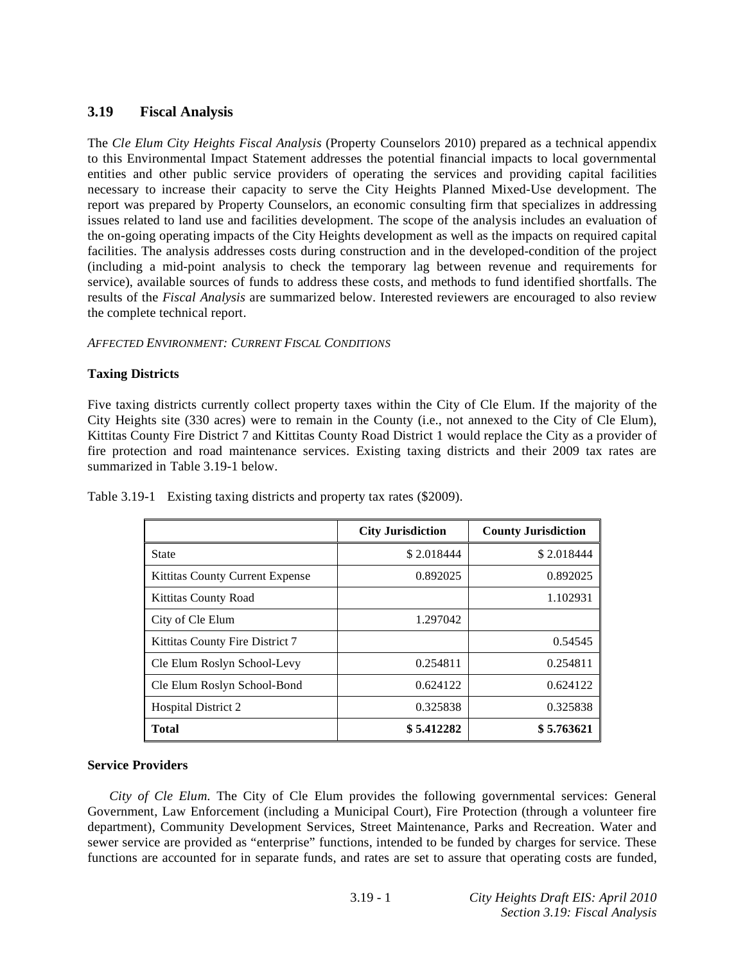# **3.19 Fiscal Analysis**

The *Cle Elum City Heights Fiscal Analysis* (Property Counselors 2010) prepared as a technical appendix to this Environmental Impact Statement addresses the potential financial impacts to local governmental entities and other public service providers of operating the services and providing capital facilities necessary to increase their capacity to serve the City Heights Planned Mixed-Use development. The report was prepared by Property Counselors, an economic consulting firm that specializes in addressing issues related to land use and facilities development. The scope of the analysis includes an evaluation of the on-going operating impacts of the City Heights development as well as the impacts on required capital facilities. The analysis addresses costs during construction and in the developed-condition of the project (including a mid-point analysis to check the temporary lag between revenue and requirements for service), available sources of funds to address these costs, and methods to fund identified shortfalls. The results of the *Fiscal Analysis* are summarized below. Interested reviewers are encouraged to also review the complete technical report.

## *AFFECTED ENVIRONMENT: CURRENT FISCAL CONDITIONS*

## **Taxing Districts**

Five taxing districts currently collect property taxes within the City of Cle Elum. If the majority of the City Heights site (330 acres) were to remain in the County (i.e., not annexed to the City of Cle Elum), Kittitas County Fire District 7 and Kittitas County Road District 1 would replace the City as a provider of fire protection and road maintenance services. Existing taxing districts and their 2009 tax rates are summarized in Table 3.19-1 below.

|                                 | <b>City Jurisdiction</b> | <b>County Jurisdiction</b> |
|---------------------------------|--------------------------|----------------------------|
| State                           | \$2.018444               | \$2.018444                 |
| Kittitas County Current Expense | 0.892025                 | 0.892025                   |
| Kittitas County Road            |                          | 1.102931                   |
| City of Cle Elum                | 1.297042                 |                            |
| Kittitas County Fire District 7 |                          | 0.54545                    |
| Cle Elum Roslyn School-Levy     | 0.254811                 | 0.254811                   |
| Cle Elum Roslyn School-Bond     | 0.624122                 | 0.624122                   |
| <b>Hospital District 2</b>      | 0.325838                 | 0.325838                   |
| <b>Total</b>                    | \$5.412282               | \$5.763621                 |

Table 3.19-1 Existing taxing districts and property tax rates (\$2009).

## **Service Providers**

*City of Cle Elum*. The City of Cle Elum provides the following governmental services: General Government, Law Enforcement (including a Municipal Court), Fire Protection (through a volunteer fire department), Community Development Services, Street Maintenance, Parks and Recreation. Water and sewer service are provided as "enterprise" functions, intended to be funded by charges for service. These functions are accounted for in separate funds, and rates are set to assure that operating costs are funded,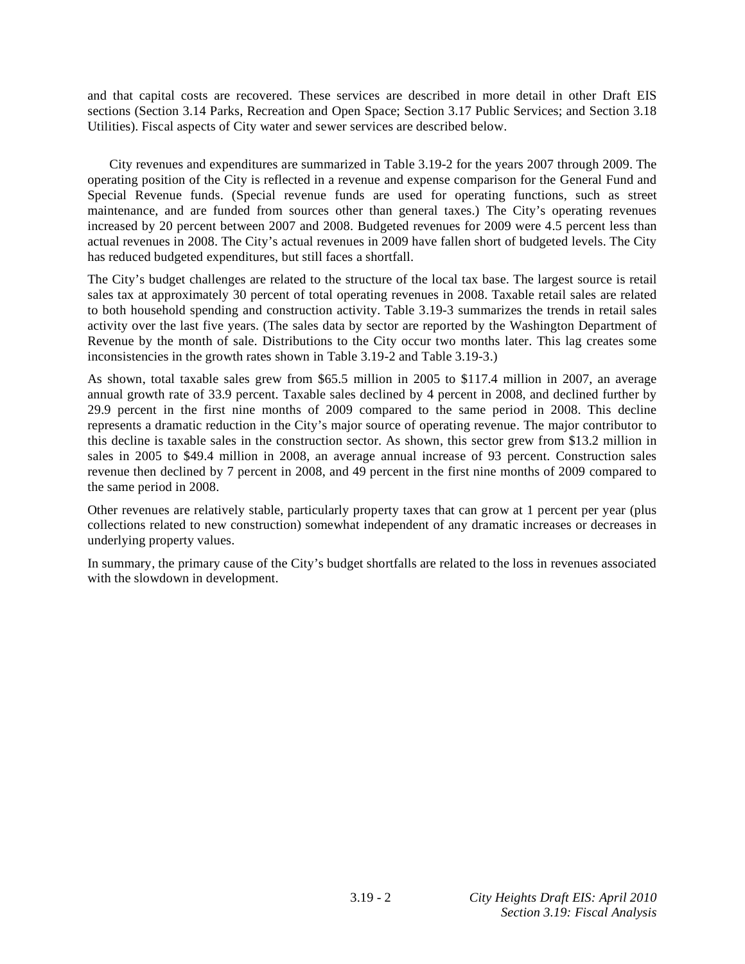and that capital costs are recovered. These services are described in more detail in other Draft EIS sections (Section 3.14 Parks, Recreation and Open Space; Section 3.17 Public Services; and Section 3.18 Utilities). Fiscal aspects of City water and sewer services are described below.

 City revenues and expenditures are summarized in Table 3.19-2 for the years 2007 through 2009. The operating position of the City is reflected in a revenue and expense comparison for the General Fund and Special Revenue funds. (Special revenue funds are used for operating functions, such as street maintenance, and are funded from sources other than general taxes.) The City's operating revenues increased by 20 percent between 2007 and 2008. Budgeted revenues for 2009 were 4.5 percent less than actual revenues in 2008. The City's actual revenues in 2009 have fallen short of budgeted levels. The City has reduced budgeted expenditures, but still faces a shortfall.

The City's budget challenges are related to the structure of the local tax base. The largest source is retail sales tax at approximately 30 percent of total operating revenues in 2008. Taxable retail sales are related to both household spending and construction activity. Table 3.19-3 summarizes the trends in retail sales activity over the last five years. (The sales data by sector are reported by the Washington Department of Revenue by the month of sale. Distributions to the City occur two months later. This lag creates some inconsistencies in the growth rates shown in Table 3.19-2 and Table 3.19-3.)

As shown, total taxable sales grew from \$65.5 million in 2005 to \$117.4 million in 2007, an average annual growth rate of 33.9 percent. Taxable sales declined by 4 percent in 2008, and declined further by 29.9 percent in the first nine months of 2009 compared to the same period in 2008. This decline represents a dramatic reduction in the City's major source of operating revenue. The major contributor to this decline is taxable sales in the construction sector. As shown, this sector grew from \$13.2 million in sales in 2005 to \$49.4 million in 2008, an average annual increase of 93 percent. Construction sales revenue then declined by 7 percent in 2008, and 49 percent in the first nine months of 2009 compared to the same period in 2008.

Other revenues are relatively stable, particularly property taxes that can grow at 1 percent per year (plus collections related to new construction) somewhat independent of any dramatic increases or decreases in underlying property values.

In summary, the primary cause of the City's budget shortfalls are related to the loss in revenues associated with the slowdown in development.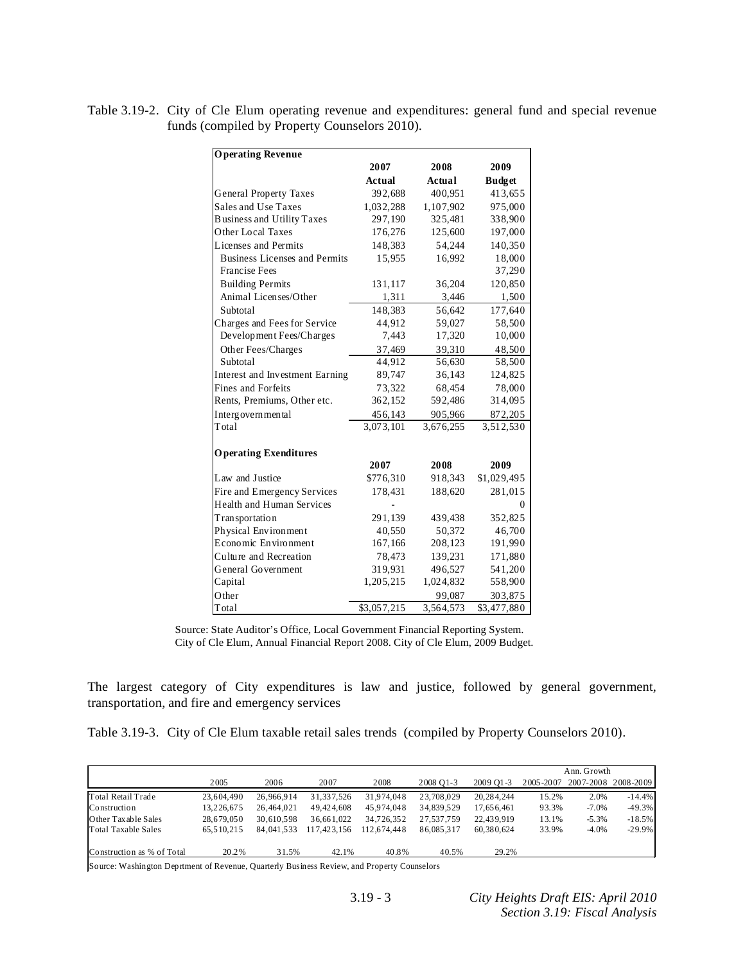Table 3.19-2. City of Cle Elum operating revenue and expenditures: general fund and special revenue funds (compiled by Property Counselors 2010).

| <b>Operating Revenue</b>             |               |           |               |
|--------------------------------------|---------------|-----------|---------------|
|                                      | 2007          | 2008      | 2009          |
|                                      | <b>Actual</b> | Actual    | <b>Budget</b> |
| <b>General Property Taxes</b>        | 392,688       | 400,951   | 413,655       |
| Sales and Use Taxes                  | 1,032,288     | 1,107,902 | 975,000       |
| <b>Business and Utility Taxes</b>    | 297,190       | 325,481   | 338,900       |
| Other Local Taxes                    | 176,276       | 125,600   | 197,000       |
| Licenses and Permits                 | 148.383       | 54.244    | 140.350       |
| <b>Business Licenses and Permits</b> | 15,955        | 16,992    | 18,000        |
| <b>Francise Fees</b>                 |               |           | 37,290        |
| <b>Building Permits</b>              | 131,117       | 36,204    | 120,850       |
| Animal Licenses/Other                | 1,311         | 3,446     | 1,500         |
| Subtotal                             | 148,383       | 56,642    | 177,640       |
| Charges and Fees for Service         | 44,912        | 59,027    | 58,500        |
| Development Fees/Charges             | 7,443         | 17,320    | 10,000        |
| Other Fees/Charges                   | 37,469        | 39,310    | 48,500        |
| Subtotal                             | 44,912        | 56,630    | 58,500        |
| Interest and Investment Earning      | 89,747        | 36,143    | 124,825       |
| <b>Fines and Forfeits</b>            | 73,322        | 68,454    | 78,000        |
| Rents, Premiums, Other etc.          | 362,152       | 592,486   | 314,095       |
| Intergovernmental                    | 456,143       | 905,966   | 872,205       |
| Total                                | 3,073,101     | 3,676,255 | 3,512,530     |
| <b>Operating Exenditures</b>         |               |           |               |
|                                      | 2007          | 2008      | 2009          |
| Law and Justice                      | \$776,310     | 918,343   | \$1,029,495   |
| Fire and Emergency Services          | 178,431       | 188,620   | 281,015       |
| <b>Health and Human Services</b>     |               |           | 0             |
| Transportation                       | 291,139       | 439,438   | 352,825       |
| Physical Environment                 | 40,550        | 50,372    | 46,700        |
| Economic Environment                 | 167,166       | 208,123   | 191,990       |
| Culture and Recreation               | 78,473        | 139,231   | 171,880       |
| General Government                   | 319,931       | 496,527   | 541,200       |
| Capital                              | 1,205,215     | 1,024,832 | 558,900       |
| Other                                |               | 99,087    | 303,875       |
| Total                                | \$3,057,215   | 3,564,573 | \$3,477,880   |

 Source: State Auditor's Office, Local Government Financial Reporting System. City of Cle Elum, Annual Financial Report 2008. City of Cle Elum, 2009 Budget.

The largest category of City expenditures is law and justice, followed by general government, transportation, and fire and emergency services

|  |  | Table 3.19-3. City of Cle Elum taxable retail sales trends (compiled by Property Counselors 2010). |  |  |  |
|--|--|----------------------------------------------------------------------------------------------------|--|--|--|
|--|--|----------------------------------------------------------------------------------------------------|--|--|--|

|                            |            |            |             |             |            |            |           | Ann. Growth |                     |
|----------------------------|------------|------------|-------------|-------------|------------|------------|-----------|-------------|---------------------|
|                            | 2005       | 2006       | 2007        | 2008        | 2008 01-3  | 2009 O1-3  | 2005-2007 |             | 2007-2008 2008-2009 |
| Total Retail Trade         | 23.604.490 | 26,966,914 | 31,337,526  | 31.974.048  | 23,708,029 | 20.284.244 | 15.2%     | 2.0%        | $-14.4%$            |
| Construction               | 13.226.675 | 26.464.021 | 49.424.608  | 45.974.048  | 34,839,529 | 17.656.461 | 93.3%     | $-7.0\%$    | $-49.3%$            |
| Other Taxable Sales        | 28.679.050 | 30.610.598 | 36.661.022  | 34.726.352  | 27,537,759 | 22.439.919 | 13.1%     | $-5.3%$     | $-18.5%$            |
| Total Taxable Sales        | 65.510.215 | 84,041,533 | 117.423.156 | 112.674.448 | 86,085,317 | 60.380.624 | 33.9%     | $-4.0%$     | $-29.9\%$           |
|                            |            |            |             |             |            |            |           |             |                     |
| Construction as % of Total | 20.2%      | 31.5%      | 42.1%       | 40.8%       | 40.5%      | 29.2%      |           |             |                     |

Source: Washington Deprtment of Revenue, Quarterly Business Review, and Property Counselors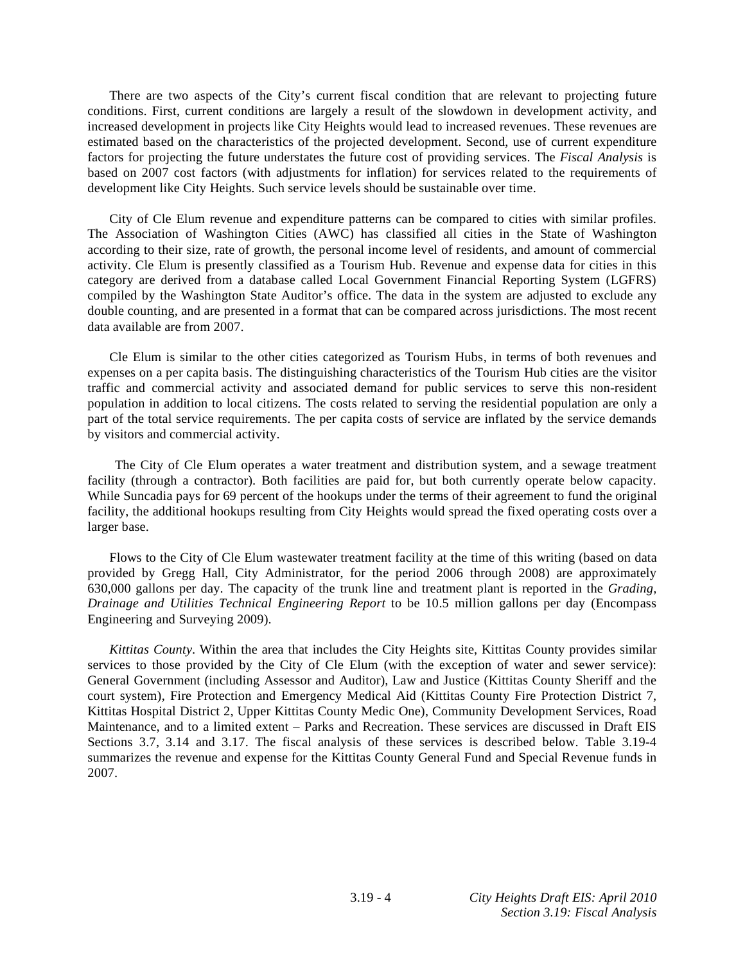There are two aspects of the City's current fiscal condition that are relevant to projecting future conditions. First, current conditions are largely a result of the slowdown in development activity, and increased development in projects like City Heights would lead to increased revenues. These revenues are estimated based on the characteristics of the projected development. Second, use of current expenditure factors for projecting the future understates the future cost of providing services. The *Fiscal Analysis* is based on 2007 cost factors (with adjustments for inflation) for services related to the requirements of development like City Heights. Such service levels should be sustainable over time.

 City of Cle Elum revenue and expenditure patterns can be compared to cities with similar profiles. The Association of Washington Cities (AWC) has classified all cities in the State of Washington according to their size, rate of growth, the personal income level of residents, and amount of commercial activity. Cle Elum is presently classified as a Tourism Hub. Revenue and expense data for cities in this category are derived from a database called Local Government Financial Reporting System (LGFRS) compiled by the Washington State Auditor's office. The data in the system are adjusted to exclude any double counting, and are presented in a format that can be compared across jurisdictions. The most recent data available are from 2007.

 Cle Elum is similar to the other cities categorized as Tourism Hubs, in terms of both revenues and expenses on a per capita basis. The distinguishing characteristics of the Tourism Hub cities are the visitor traffic and commercial activity and associated demand for public services to serve this non-resident population in addition to local citizens. The costs related to serving the residential population are only a part of the total service requirements. The per capita costs of service are inflated by the service demands by visitors and commercial activity.

The City of Cle Elum operates a water treatment and distribution system, and a sewage treatment facility (through a contractor). Both facilities are paid for, but both currently operate below capacity. While Suncadia pays for 69 percent of the hookups under the terms of their agreement to fund the original facility, the additional hookups resulting from City Heights would spread the fixed operating costs over a larger base.

 Flows to the City of Cle Elum wastewater treatment facility at the time of this writing (based on data provided by Gregg Hall, City Administrator, for the period 2006 through 2008) are approximately 630,000 gallons per day. The capacity of the trunk line and treatment plant is reported in the *Grading, Drainage and Utilities Technical Engineering Report* to be 10.5 million gallons per day (Encompass Engineering and Surveying 2009).

*Kittitas County*. Within the area that includes the City Heights site, Kittitas County provides similar services to those provided by the City of Cle Elum (with the exception of water and sewer service): General Government (including Assessor and Auditor), Law and Justice (Kittitas County Sheriff and the court system), Fire Protection and Emergency Medical Aid (Kittitas County Fire Protection District 7, Kittitas Hospital District 2, Upper Kittitas County Medic One), Community Development Services, Road Maintenance, and to a limited extent – Parks and Recreation. These services are discussed in Draft EIS Sections 3.7, 3.14 and 3.17. The fiscal analysis of these services is described below. Table 3.19-4 summarizes the revenue and expense for the Kittitas County General Fund and Special Revenue funds in 2007.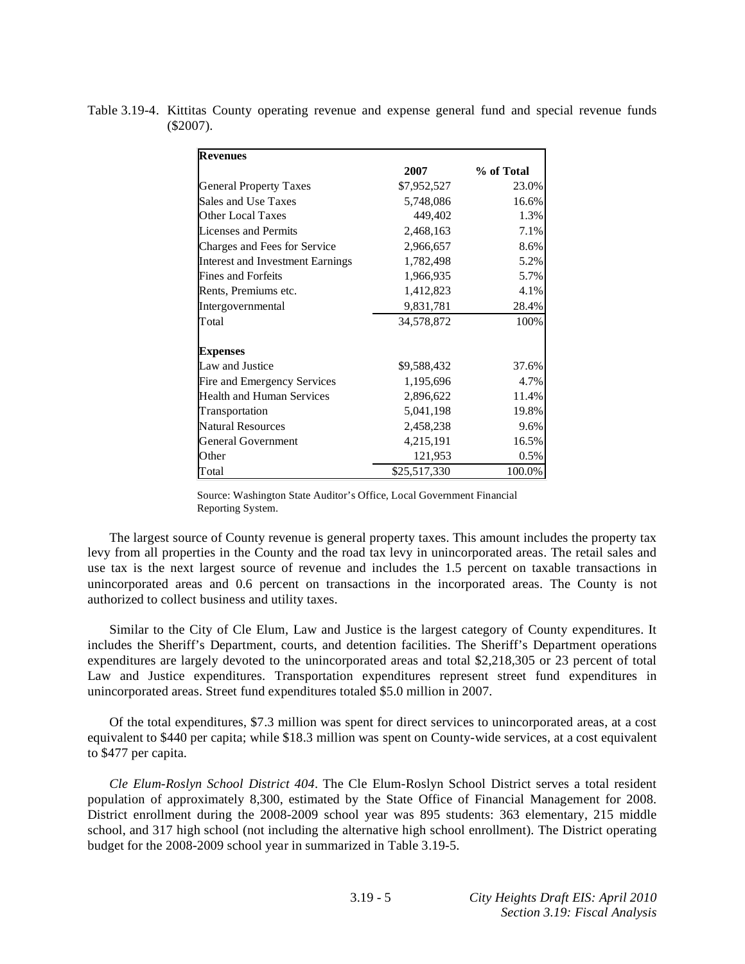| <b>Revenues</b>                  |              |            |
|----------------------------------|--------------|------------|
|                                  | 2007         | % of Total |
| <b>General Property Taxes</b>    | \$7,952,527  | 23.0%      |
| Sales and Use Taxes              | 5,748,086    | 16.6%      |
| Other Local Taxes                | 449,402      | 1.3%       |
| Licenses and Permits             | 2,468,163    | 7.1%       |
| Charges and Fees for Service     | 2,966,657    | 8.6%       |
| Interest and Investment Earnings | 1,782,498    | 5.2%       |
| <b>Fines and Forfeits</b>        | 1,966,935    | 5.7%       |
| Rents, Premiums etc.             | 1,412,823    | 4.1%       |
| Intergovernmental                | 9,831,781    | 28.4%      |
| Total                            | 34,578,872   | 100%       |
| <b>Expenses</b>                  |              |            |
| Law and Justice                  | \$9,588,432  | 37.6%      |
| Fire and Emergency Services      | 1,195,696    | 4.7%       |
| Health and Human Services        | 2,896,622    | 11.4%      |
| Transportation                   | 5,041,198    | 19.8%      |
| Natural Resources                | 2,458,238    | 9.6%       |
| General Government               | 4,215,191    | 16.5%      |
| Other                            | 121,953      | 0.5%       |
| Total                            | \$25,517,330 | 100.0%     |

Table 3.19-4. Kittitas County operating revenue and expense general fund and special revenue funds (\$2007).

Source: Washington State Auditor's Office, Local Government Financial Reporting System.

 The largest source of County revenue is general property taxes. This amount includes the property tax levy from all properties in the County and the road tax levy in unincorporated areas. The retail sales and use tax is the next largest source of revenue and includes the 1.5 percent on taxable transactions in unincorporated areas and 0.6 percent on transactions in the incorporated areas. The County is not authorized to collect business and utility taxes.

 Similar to the City of Cle Elum, Law and Justice is the largest category of County expenditures. It includes the Sheriff's Department, courts, and detention facilities. The Sheriff's Department operations expenditures are largely devoted to the unincorporated areas and total \$2,218,305 or 23 percent of total Law and Justice expenditures. Transportation expenditures represent street fund expenditures in unincorporated areas. Street fund expenditures totaled \$5.0 million in 2007.

 Of the total expenditures, \$7.3 million was spent for direct services to unincorporated areas, at a cost equivalent to \$440 per capita; while \$18.3 million was spent on County-wide services, at a cost equivalent to \$477 per capita.

*Cle Elum-Roslyn School District 404*. The Cle Elum-Roslyn School District serves a total resident population of approximately 8,300, estimated by the State Office of Financial Management for 2008. District enrollment during the 2008-2009 school year was 895 students: 363 elementary, 215 middle school, and 317 high school (not including the alternative high school enrollment). The District operating budget for the 2008-2009 school year in summarized in Table 3.19-5.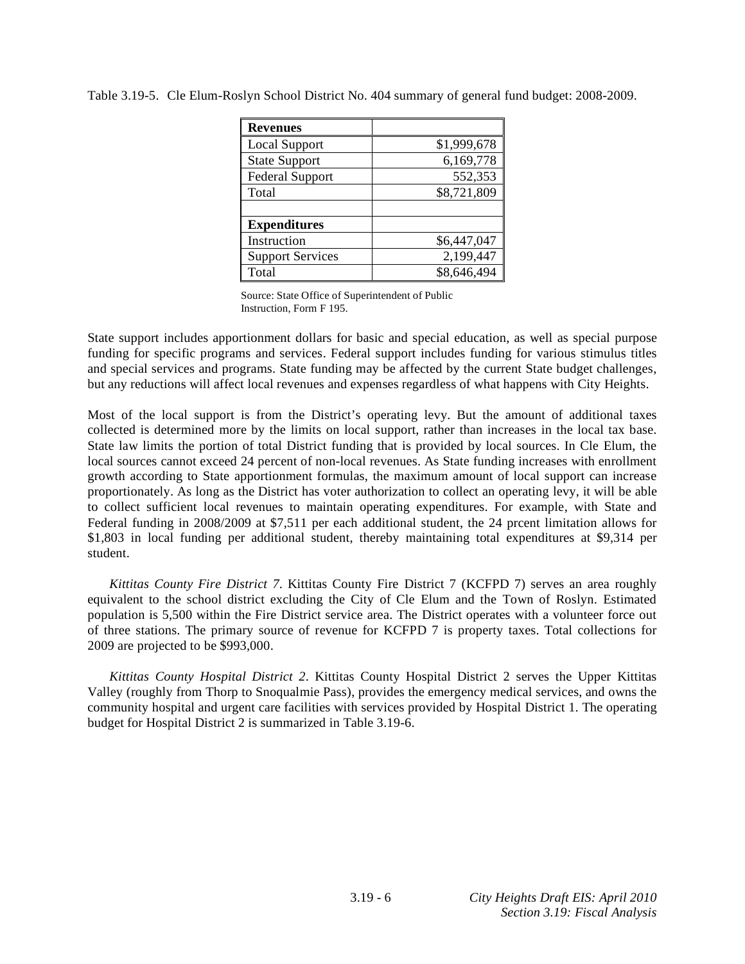| <b>Revenues</b>         |             |
|-------------------------|-------------|
| Local Support           | \$1,999,678 |
| <b>State Support</b>    | 6,169,778   |
| <b>Federal Support</b>  | 552,353     |
| Total                   | \$8,721,809 |
|                         |             |
| <b>Expenditures</b>     |             |
| Instruction             | \$6,447,047 |
| <b>Support Services</b> | 2,199,447   |
| Total                   | \$8,646,494 |

Source: State Office of Superintendent of Public Instruction, Form F 195.

State support includes apportionment dollars for basic and special education, as well as special purpose funding for specific programs and services. Federal support includes funding for various stimulus titles and special services and programs. State funding may be affected by the current State budget challenges, but any reductions will affect local revenues and expenses regardless of what happens with City Heights.

Most of the local support is from the District's operating levy. But the amount of additional taxes collected is determined more by the limits on local support, rather than increases in the local tax base. State law limits the portion of total District funding that is provided by local sources. In Cle Elum, the local sources cannot exceed 24 percent of non-local revenues. As State funding increases with enrollment growth according to State apportionment formulas, the maximum amount of local support can increase proportionately. As long as the District has voter authorization to collect an operating levy, it will be able to collect sufficient local revenues to maintain operating expenditures. For example, with State and Federal funding in 2008/2009 at \$7,511 per each additional student, the 24 prcent limitation allows for \$1,803 in local funding per additional student, thereby maintaining total expenditures at \$9,314 per student.

*Kittitas County Fire District 7*. Kittitas County Fire District 7 (KCFPD 7) serves an area roughly equivalent to the school district excluding the City of Cle Elum and the Town of Roslyn. Estimated population is 5,500 within the Fire District service area. The District operates with a volunteer force out of three stations. The primary source of revenue for KCFPD 7 is property taxes. Total collections for 2009 are projected to be \$993,000.

*Kittitas County Hospital District 2*. Kittitas County Hospital District 2 serves the Upper Kittitas Valley (roughly from Thorp to Snoqualmie Pass), provides the emergency medical services, and owns the community hospital and urgent care facilities with services provided by Hospital District 1. The operating budget for Hospital District 2 is summarized in Table 3.19-6.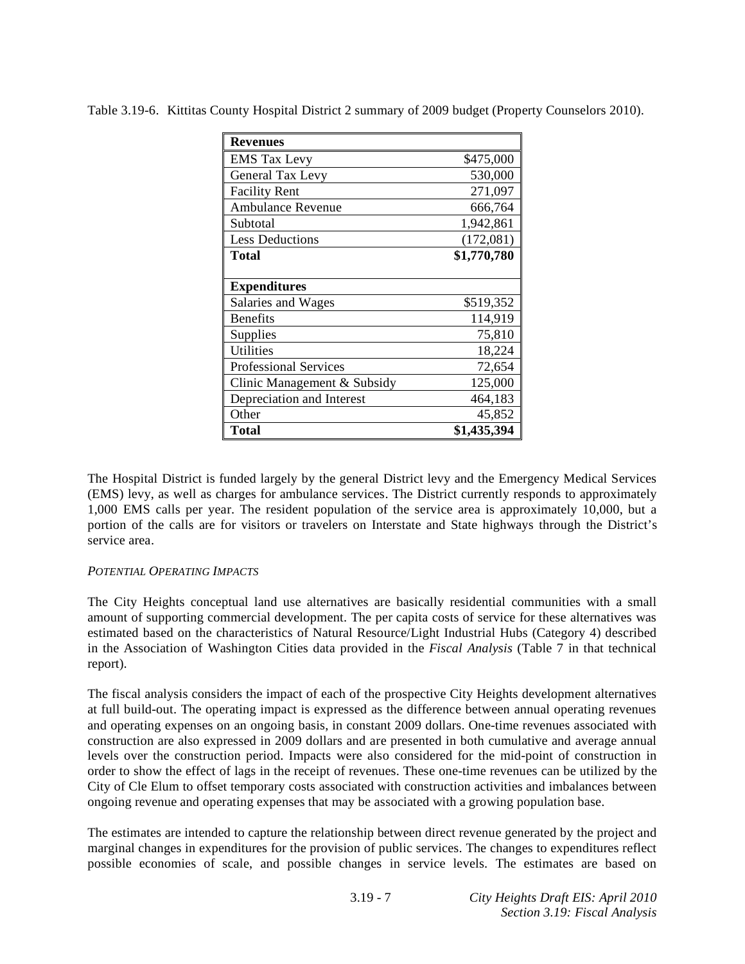| <b>Revenues</b>              |             |
|------------------------------|-------------|
| <b>EMS</b> Tax Levy          | \$475,000   |
| General Tax Levy             | 530,000     |
| <b>Facility Rent</b>         | 271,097     |
| <b>Ambulance Revenue</b>     | 666,764     |
| Subtotal                     | 1,942,861   |
| <b>Less Deductions</b>       | (172,081)   |
| <b>Total</b>                 | \$1,770,780 |
|                              |             |
| <b>Expenditures</b>          |             |
| Salaries and Wages           | \$519,352   |
| <b>Benefits</b>              | 114,919     |
| Supplies                     | 75,810      |
| <b>Utilities</b>             | 18,224      |
| <b>Professional Services</b> | 72,654      |
| Clinic Management & Subsidy  | 125,000     |
| Depreciation and Interest    | 464,183     |
| Other                        | 45,852      |
| Total                        | \$1,435,394 |

Table 3.19-6. Kittitas County Hospital District 2 summary of 2009 budget (Property Counselors 2010).

The Hospital District is funded largely by the general District levy and the Emergency Medical Services (EMS) levy, as well as charges for ambulance services. The District currently responds to approximately 1,000 EMS calls per year. The resident population of the service area is approximately 10,000, but a portion of the calls are for visitors or travelers on Interstate and State highways through the District's service area.

## *POTENTIAL OPERATING IMPACTS*

The City Heights conceptual land use alternatives are basically residential communities with a small amount of supporting commercial development. The per capita costs of service for these alternatives was estimated based on the characteristics of Natural Resource/Light Industrial Hubs (Category 4) described in the Association of Washington Cities data provided in the *Fiscal Analysis* (Table 7 in that technical report).

The fiscal analysis considers the impact of each of the prospective City Heights development alternatives at full build-out. The operating impact is expressed as the difference between annual operating revenues and operating expenses on an ongoing basis, in constant 2009 dollars. One-time revenues associated with construction are also expressed in 2009 dollars and are presented in both cumulative and average annual levels over the construction period. Impacts were also considered for the mid-point of construction in order to show the effect of lags in the receipt of revenues. These one-time revenues can be utilized by the City of Cle Elum to offset temporary costs associated with construction activities and imbalances between ongoing revenue and operating expenses that may be associated with a growing population base.

The estimates are intended to capture the relationship between direct revenue generated by the project and marginal changes in expenditures for the provision of public services. The changes to expenditures reflect possible economies of scale, and possible changes in service levels. The estimates are based on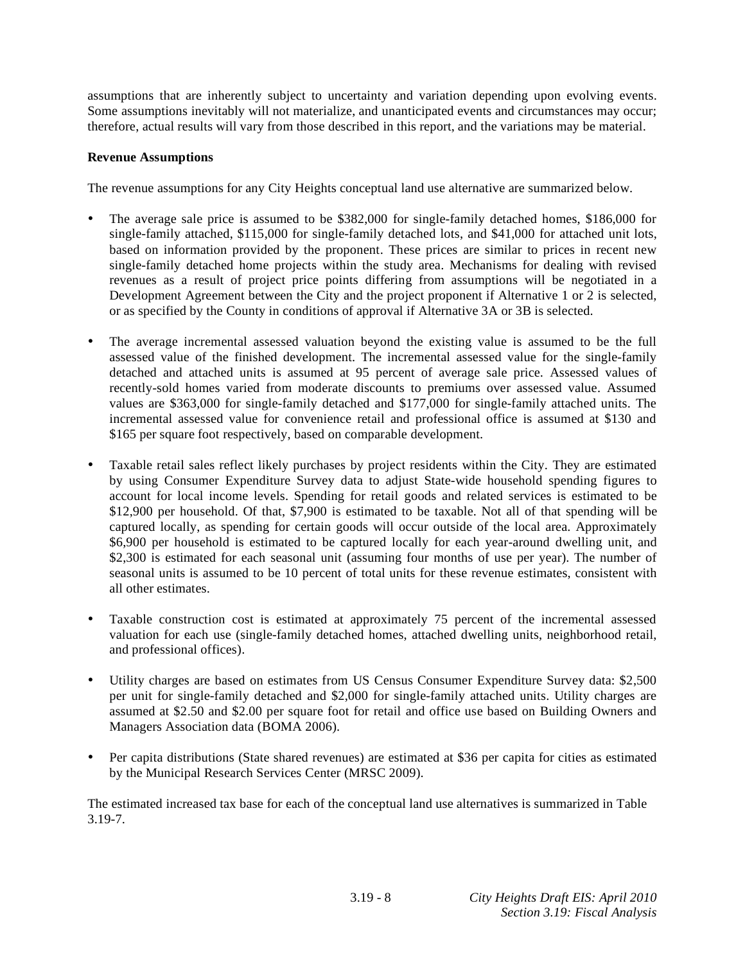assumptions that are inherently subject to uncertainty and variation depending upon evolving events. Some assumptions inevitably will not materialize, and unanticipated events and circumstances may occur; therefore, actual results will vary from those described in this report, and the variations may be material.

## **Revenue Assumptions**

The revenue assumptions for any City Heights conceptual land use alternative are summarized below.

- The average sale price is assumed to be \$382,000 for single-family detached homes, \$186,000 for single-family attached, \$115,000 for single-family detached lots, and \$41,000 for attached unit lots, based on information provided by the proponent. These prices are similar to prices in recent new single-family detached home projects within the study area. Mechanisms for dealing with revised revenues as a result of project price points differing from assumptions will be negotiated in a Development Agreement between the City and the project proponent if Alternative 1 or 2 is selected, or as specified by the County in conditions of approval if Alternative 3A or 3B is selected.
- The average incremental assessed valuation beyond the existing value is assumed to be the full assessed value of the finished development. The incremental assessed value for the single-family detached and attached units is assumed at 95 percent of average sale price. Assessed values of recently-sold homes varied from moderate discounts to premiums over assessed value. Assumed values are \$363,000 for single-family detached and \$177,000 for single-family attached units. The incremental assessed value for convenience retail and professional office is assumed at \$130 and \$165 per square foot respectively, based on comparable development.
- Taxable retail sales reflect likely purchases by project residents within the City. They are estimated by using Consumer Expenditure Survey data to adjust State-wide household spending figures to account for local income levels. Spending for retail goods and related services is estimated to be \$12,900 per household. Of that, \$7,900 is estimated to be taxable. Not all of that spending will be captured locally, as spending for certain goods will occur outside of the local area. Approximately \$6,900 per household is estimated to be captured locally for each year-around dwelling unit, and \$2,300 is estimated for each seasonal unit (assuming four months of use per year). The number of seasonal units is assumed to be 10 percent of total units for these revenue estimates, consistent with all other estimates.
- Taxable construction cost is estimated at approximately 75 percent of the incremental assessed valuation for each use (single-family detached homes, attached dwelling units, neighborhood retail, and professional offices).
- Utility charges are based on estimates from US Census Consumer Expenditure Survey data: \$2,500 per unit for single-family detached and \$2,000 for single-family attached units. Utility charges are assumed at \$2.50 and \$2.00 per square foot for retail and office use based on Building Owners and Managers Association data (BOMA 2006).
- Per capita distributions (State shared revenues) are estimated at \$36 per capita for cities as estimated by the Municipal Research Services Center (MRSC 2009).

The estimated increased tax base for each of the conceptual land use alternatives is summarized in Table 3.19-7.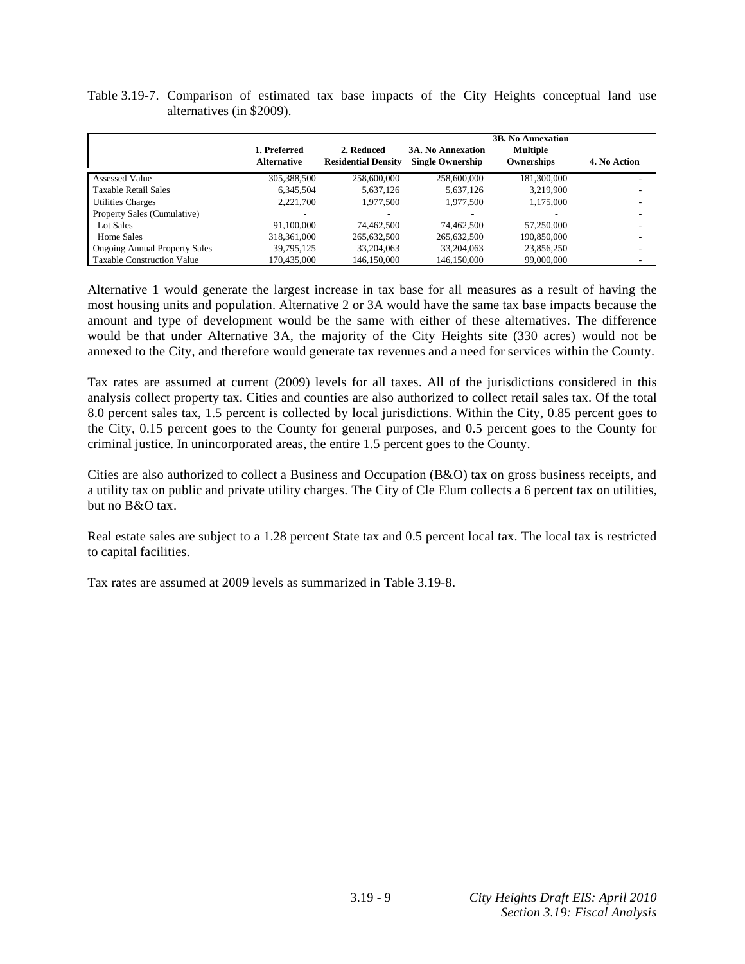| Table 3.19-7. Comparison of estimated tax base impacts of the City Heights conceptual land use |                           |  |  |  |  |  |  |
|------------------------------------------------------------------------------------------------|---------------------------|--|--|--|--|--|--|
|                                                                                                | alternatives (in \$2009). |  |  |  |  |  |  |

|                                      |                                    |                                          |                                                     | <b>3B. No Annexation</b>      |                          |
|--------------------------------------|------------------------------------|------------------------------------------|-----------------------------------------------------|-------------------------------|--------------------------|
|                                      | 1. Preferred<br><b>Alternative</b> | 2. Reduced<br><b>Residential Density</b> | <b>3A. No Annexation</b><br><b>Single Ownership</b> | <b>Multiple</b><br>Ownerships | 4. No Action             |
| Assessed Value                       | 305,388,500                        | 258,600,000                              | 258,600,000                                         | 181.300.000                   |                          |
| <b>Taxable Retail Sales</b>          | 6.345.504                          | 5.637.126                                | 5.637.126                                           | 3.219.900                     |                          |
| <b>Utilities Charges</b>             | 2.221.700                          | 1.977.500                                | 1.977.500                                           | 1.175.000                     |                          |
| Property Sales (Cumulative)          |                                    |                                          |                                                     |                               |                          |
| Lot Sales                            | 91.100.000                         | 74.462.500                               | 74.462.500                                          | 57,250,000                    |                          |
| Home Sales                           | 318,361,000                        | 265,632,500                              | 265,632,500                                         | 190.850.000                   |                          |
| <b>Ongoing Annual Property Sales</b> | 39.795.125                         | 33,204,063                               | 33.204.063                                          | 23,856,250                    | $\overline{\phantom{a}}$ |
| <b>Taxable Construction Value</b>    | 170,435,000                        | 146,150,000                              | 146,150,000                                         | 99,000,000                    |                          |

Alternative 1 would generate the largest increase in tax base for all measures as a result of having the most housing units and population. Alternative 2 or 3A would have the same tax base impacts because the amount and type of development would be the same with either of these alternatives. The difference would be that under Alternative 3A, the majority of the City Heights site (330 acres) would not be annexed to the City, and therefore would generate tax revenues and a need for services within the County.

Tax rates are assumed at current (2009) levels for all taxes. All of the jurisdictions considered in this analysis collect property tax. Cities and counties are also authorized to collect retail sales tax. Of the total 8.0 percent sales tax, 1.5 percent is collected by local jurisdictions. Within the City, 0.85 percent goes to the City, 0.15 percent goes to the County for general purposes, and 0.5 percent goes to the County for criminal justice. In unincorporated areas, the entire 1.5 percent goes to the County.

Cities are also authorized to collect a Business and Occupation (B&O) tax on gross business receipts, and a utility tax on public and private utility charges. The City of Cle Elum collects a 6 percent tax on utilities, but no  $B\&O$  tax.

Real estate sales are subject to a 1.28 percent State tax and 0.5 percent local tax. The local tax is restricted to capital facilities.

Tax rates are assumed at 2009 levels as summarized in Table 3.19-8.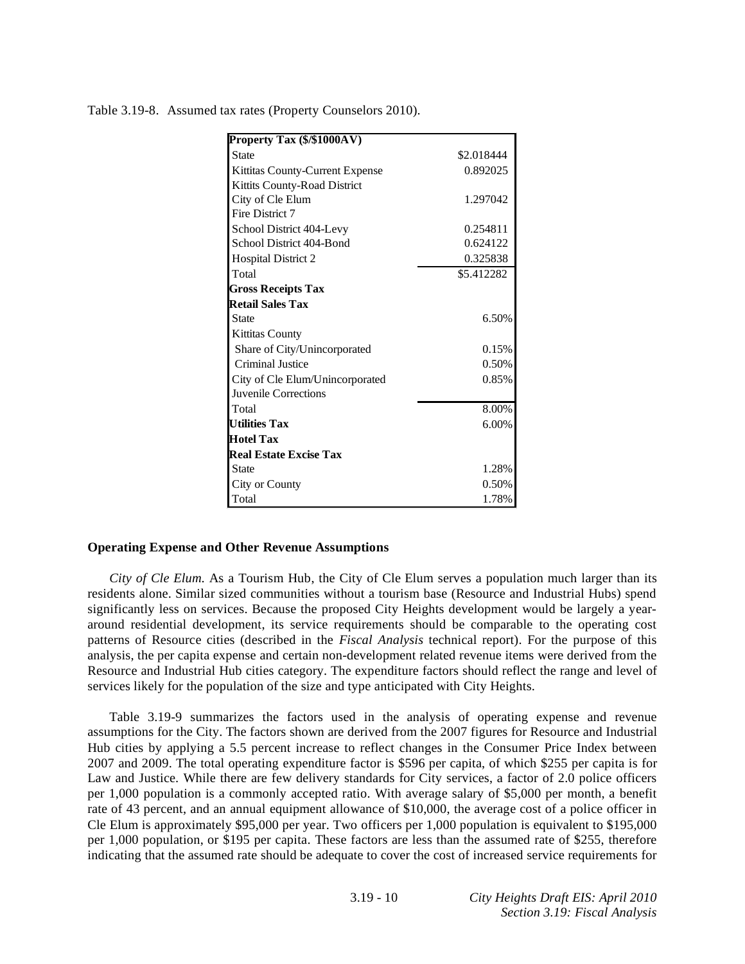| Property Tax (\$/\$1000AV)      |            |
|---------------------------------|------------|
| <b>State</b>                    | \$2.018444 |
| Kittitas County-Current Expense | 0.892025   |
| Kittits County-Road District    |            |
| City of Cle Elum                | 1.297042   |
| Fire District 7                 |            |
| School District 404-Levy        | 0.254811   |
| School District 404-Bond        | 0.624122   |
| <b>Hospital District 2</b>      | 0.325838   |
| Total                           | \$5.412282 |
| <b>Gross Receipts Tax</b>       |            |
| <b>Retail Sales Tax</b>         |            |
| <b>State</b>                    | 6.50%      |
| Kittitas County                 |            |
| Share of City/Unincorporated    | 0.15%      |
| Criminal Justice                | 0.50%      |
| City of Cle Elum/Unincorporated | 0.85%      |
| Juvenile Corrections            |            |
| Total                           | 8.00%      |
| <b>Utilities Tax</b>            | 6.00%      |
| <b>Hotel Tax</b>                |            |
| <b>Real Estate Excise Tax</b>   |            |
| <b>State</b>                    | 1.28%      |
| City or County                  | 0.50%      |
| Total                           | 1.78%      |

Table 3.19-8. Assumed tax rates (Property Counselors 2010).

#### **Operating Expense and Other Revenue Assumptions**

*City of Cle Elum*. As a Tourism Hub, the City of Cle Elum serves a population much larger than its residents alone. Similar sized communities without a tourism base (Resource and Industrial Hubs) spend significantly less on services. Because the proposed City Heights development would be largely a yeararound residential development, its service requirements should be comparable to the operating cost patterns of Resource cities (described in the *Fiscal Analysis* technical report). For the purpose of this analysis, the per capita expense and certain non-development related revenue items were derived from the Resource and Industrial Hub cities category. The expenditure factors should reflect the range and level of services likely for the population of the size and type anticipated with City Heights.

 Table 3.19-9 summarizes the factors used in the analysis of operating expense and revenue assumptions for the City. The factors shown are derived from the 2007 figures for Resource and Industrial Hub cities by applying a 5.5 percent increase to reflect changes in the Consumer Price Index between 2007 and 2009. The total operating expenditure factor is \$596 per capita, of which \$255 per capita is for Law and Justice. While there are few delivery standards for City services, a factor of 2.0 police officers per 1,000 population is a commonly accepted ratio. With average salary of \$5,000 per month, a benefit rate of 43 percent, and an annual equipment allowance of \$10,000, the average cost of a police officer in Cle Elum is approximately \$95,000 per year. Two officers per 1,000 population is equivalent to \$195,000 per 1,000 population, or \$195 per capita. These factors are less than the assumed rate of \$255, therefore indicating that the assumed rate should be adequate to cover the cost of increased service requirements for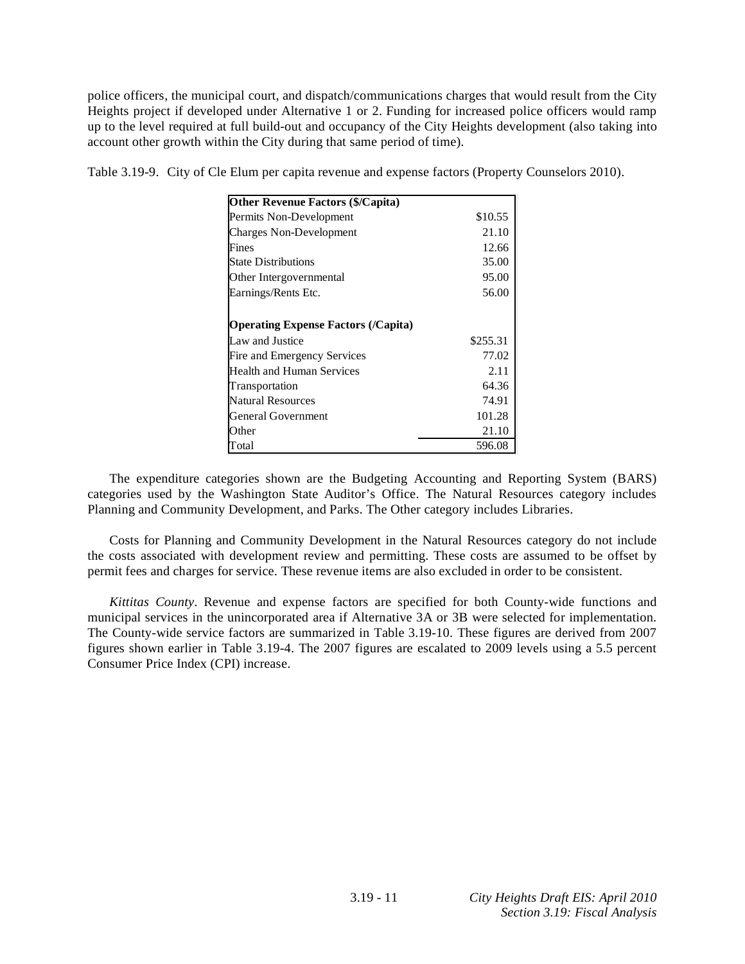police officers, the municipal court, and dispatch/communications charges that would result from the City Heights project if developed under Alternative 1 or 2. Funding for increased police officers would ramp up to the level required at full build-out and occupancy of the City Heights development (also taking into account other growth within the City during that same period of time).

| <b>Other Revenue Factors (\$/Capita)</b>   |          |
|--------------------------------------------|----------|
| Permits Non-Development                    | \$10.55  |
| <b>Charges Non-Development</b>             | 21.10    |
| Fines                                      | 12.66    |
| <b>State Distributions</b>                 | 35.00    |
| Other Intergovernmental                    | 95.00    |
| Earnings/Rents Etc.                        | 56.00    |
|                                            |          |
| <b>Operating Expense Factors (/Capita)</b> |          |
| Law and Justice                            | \$255.31 |
| Fire and Emergency Services                | 77.02    |
| Health and Human Services                  | 2.11     |
| Transportation                             | 64.36    |
| <b>Natural Resources</b>                   | 74.91    |
| <b>General Government</b>                  | 101.28   |
| Other                                      | 21.10    |
| Total                                      | 596.08   |

Table 3.19-9. City of Cle Elum per capita revenue and expense factors (Property Counselors 2010).

 The expenditure categories shown are the Budgeting Accounting and Reporting System (BARS) categories used by the Washington State Auditor's Office. The Natural Resources category includes Planning and Community Development, and Parks. The Other category includes Libraries.

 Costs for Planning and Community Development in the Natural Resources category do not include the costs associated with development review and permitting. These costs are assumed to be offset by permit fees and charges for service. These revenue items are also excluded in order to be consistent.

*Kittitas County*. Revenue and expense factors are specified for both County-wide functions and municipal services in the unincorporated area if Alternative 3A or 3B were selected for implementation. The County-wide service factors are summarized in Table 3.19-10. These figures are derived from 2007 figures shown earlier in Table 3.19-4. The 2007 figures are escalated to 2009 levels using a 5.5 percent Consumer Price Index (CPI) increase.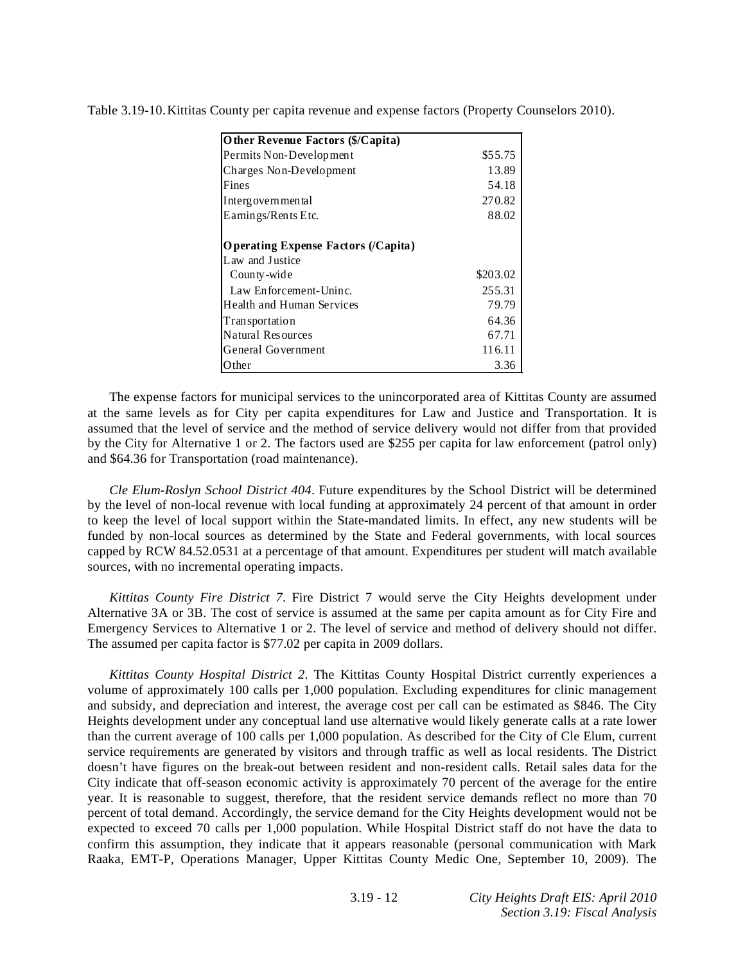| Other Revenue Factors (\$/Capita)   |          |
|-------------------------------------|----------|
| Permits Non-Development             | \$55.75  |
| Charges Non-Development             | 13.89    |
| Fines                               | 54.18    |
| Intergovernmental                   | 270.82   |
| Earnings/Rents Etc.                 | 88.02    |
| Operating Expense Factors (/Capita) |          |
| Law and Justice                     |          |
| County-wide                         | \$203.02 |
| Law Enforcement-Uninc.              | 255.31   |
| Health and Human Services           | 79.79    |
| <b>Transportation</b>               | 64.36    |
| Natural Resources                   | 67.71    |
| General Government                  | 116.11   |
| Other                               | 3.36     |

Table 3.19-10. Kittitas County per capita revenue and expense factors (Property Counselors 2010).

 The expense factors for municipal services to the unincorporated area of Kittitas County are assumed at the same levels as for City per capita expenditures for Law and Justice and Transportation. It is assumed that the level of service and the method of service delivery would not differ from that provided by the City for Alternative 1 or 2. The factors used are \$255 per capita for law enforcement (patrol only) and \$64.36 for Transportation (road maintenance).

*Cle Elum-Roslyn School District 404*. Future expenditures by the School District will be determined by the level of non-local revenue with local funding at approximately 24 percent of that amount in order to keep the level of local support within the State-mandated limits. In effect, any new students will be funded by non-local sources as determined by the State and Federal governments, with local sources capped by RCW 84.52.0531 at a percentage of that amount. Expenditures per student will match available sources, with no incremental operating impacts.

*Kittitas County Fire District 7*. Fire District 7 would serve the City Heights development under Alternative 3A or 3B. The cost of service is assumed at the same per capita amount as for City Fire and Emergency Services to Alternative 1 or 2. The level of service and method of delivery should not differ. The assumed per capita factor is \$77.02 per capita in 2009 dollars.

*Kittitas County Hospital District 2*. The Kittitas County Hospital District currently experiences a volume of approximately 100 calls per 1,000 population. Excluding expenditures for clinic management and subsidy, and depreciation and interest, the average cost per call can be estimated as \$846. The City Heights development under any conceptual land use alternative would likely generate calls at a rate lower than the current average of 100 calls per 1,000 population. As described for the City of Cle Elum, current service requirements are generated by visitors and through traffic as well as local residents. The District doesn't have figures on the break-out between resident and non-resident calls. Retail sales data for the City indicate that off-season economic activity is approximately 70 percent of the average for the entire year. It is reasonable to suggest, therefore, that the resident service demands reflect no more than 70 percent of total demand. Accordingly, the service demand for the City Heights development would not be expected to exceed 70 calls per 1,000 population. While Hospital District staff do not have the data to confirm this assumption, they indicate that it appears reasonable (personal communication with Mark Raaka, EMT-P, Operations Manager, Upper Kittitas County Medic One, September 10, 2009). The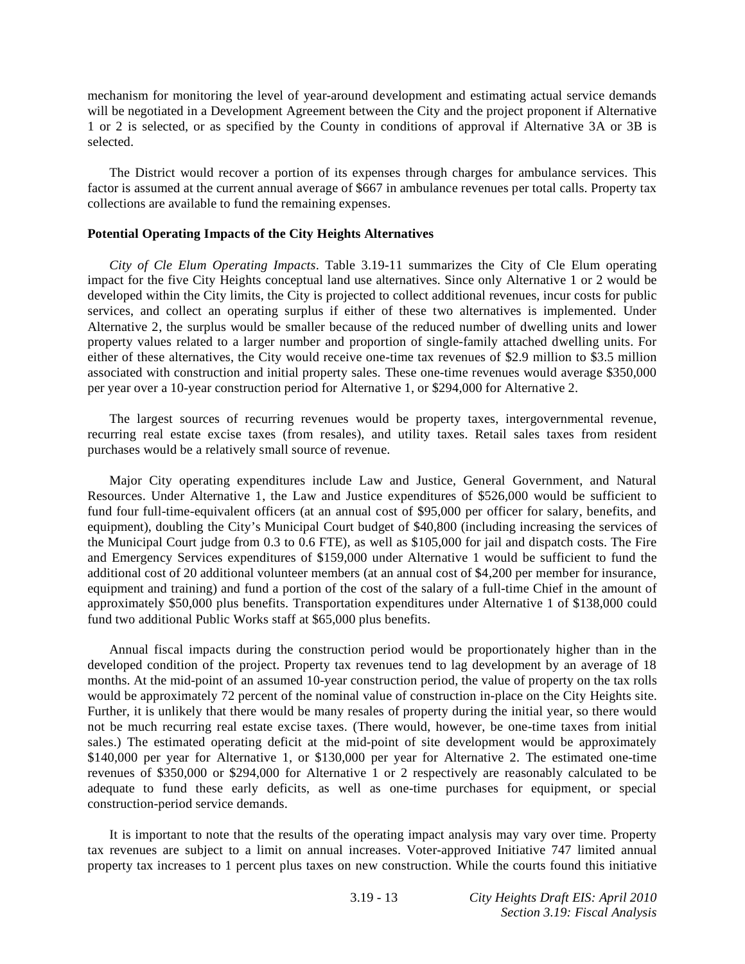mechanism for monitoring the level of year-around development and estimating actual service demands will be negotiated in a Development Agreement between the City and the project proponent if Alternative 1 or 2 is selected, or as specified by the County in conditions of approval if Alternative 3A or 3B is selected.

 The District would recover a portion of its expenses through charges for ambulance services. This factor is assumed at the current annual average of \$667 in ambulance revenues per total calls. Property tax collections are available to fund the remaining expenses.

### **Potential Operating Impacts of the City Heights Alternatives**

*City of Cle Elum Operating Impacts*. Table 3.19-11 summarizes the City of Cle Elum operating impact for the five City Heights conceptual land use alternatives. Since only Alternative 1 or 2 would be developed within the City limits, the City is projected to collect additional revenues, incur costs for public services, and collect an operating surplus if either of these two alternatives is implemented. Under Alternative 2, the surplus would be smaller because of the reduced number of dwelling units and lower property values related to a larger number and proportion of single-family attached dwelling units. For either of these alternatives, the City would receive one-time tax revenues of \$2.9 million to \$3.5 million associated with construction and initial property sales. These one-time revenues would average \$350,000 per year over a 10-year construction period for Alternative 1, or \$294,000 for Alternative 2.

 The largest sources of recurring revenues would be property taxes, intergovernmental revenue, recurring real estate excise taxes (from resales), and utility taxes. Retail sales taxes from resident purchases would be a relatively small source of revenue.

 Major City operating expenditures include Law and Justice, General Government, and Natural Resources. Under Alternative 1, the Law and Justice expenditures of \$526,000 would be sufficient to fund four full-time-equivalent officers (at an annual cost of \$95,000 per officer for salary, benefits, and equipment), doubling the City's Municipal Court budget of \$40,800 (including increasing the services of the Municipal Court judge from 0.3 to 0.6 FTE), as well as \$105,000 for jail and dispatch costs. The Fire and Emergency Services expenditures of \$159,000 under Alternative 1 would be sufficient to fund the additional cost of 20 additional volunteer members (at an annual cost of \$4,200 per member for insurance, equipment and training) and fund a portion of the cost of the salary of a full-time Chief in the amount of approximately \$50,000 plus benefits. Transportation expenditures under Alternative 1 of \$138,000 could fund two additional Public Works staff at \$65,000 plus benefits.

 Annual fiscal impacts during the construction period would be proportionately higher than in the developed condition of the project. Property tax revenues tend to lag development by an average of 18 months. At the mid-point of an assumed 10-year construction period, the value of property on the tax rolls would be approximately 72 percent of the nominal value of construction in-place on the City Heights site. Further, it is unlikely that there would be many resales of property during the initial year, so there would not be much recurring real estate excise taxes. (There would, however, be one-time taxes from initial sales.) The estimated operating deficit at the mid-point of site development would be approximately \$140,000 per year for Alternative 1, or \$130,000 per year for Alternative 2. The estimated one-time revenues of \$350,000 or \$294,000 for Alternative 1 or 2 respectively are reasonably calculated to be adequate to fund these early deficits, as well as one-time purchases for equipment, or special construction-period service demands.

 It is important to note that the results of the operating impact analysis may vary over time. Property tax revenues are subject to a limit on annual increases. Voter-approved Initiative 747 limited annual property tax increases to 1 percent plus taxes on new construction. While the courts found this initiative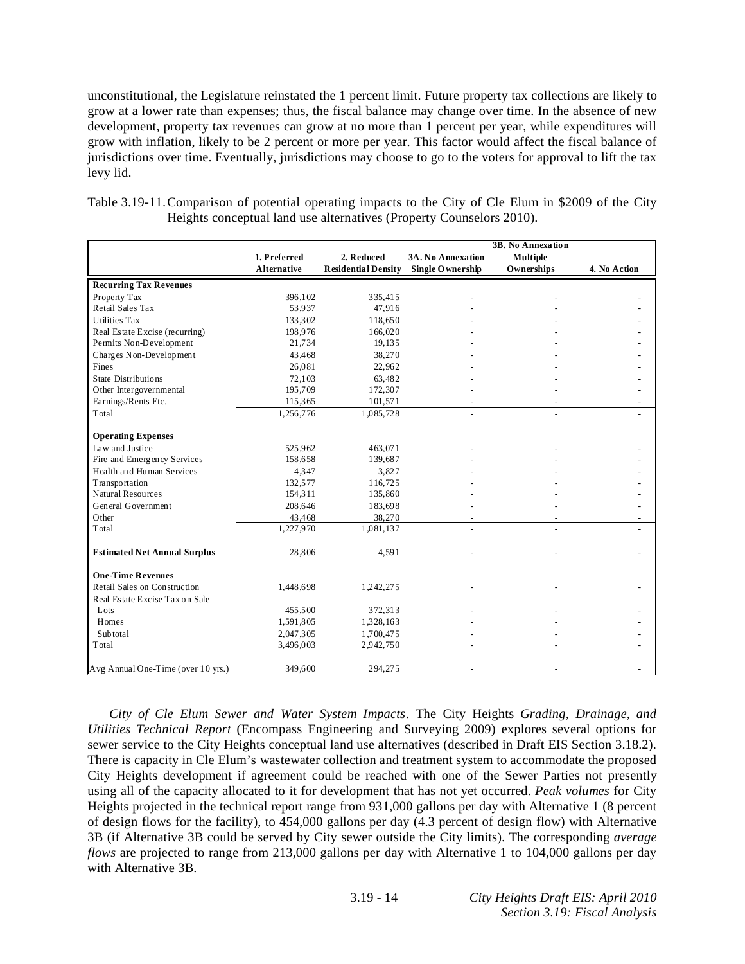unconstitutional, the Legislature reinstated the 1 percent limit. Future property tax collections are likely to grow at a lower rate than expenses; thus, the fiscal balance may change over time. In the absence of new development, property tax revenues can grow at no more than 1 percent per year, while expenditures will grow with inflation, likely to be 2 percent or more per year. This factor would affect the fiscal balance of jurisdictions over time. Eventually, jurisdictions may choose to go to the voters for approval to lift the tax levy lid.

Table 3.19-11. Comparison of potential operating impacts to the City of Cle Elum in \$2009 of the City Heights conceptual land use alternatives (Property Counselors 2010).

|                                     |                    |                            |                          | 3B. No Annexation |              |
|-------------------------------------|--------------------|----------------------------|--------------------------|-------------------|--------------|
|                                     | 1. Preferred       | 2. Reduced                 | 3A. No Annexation        | <b>Multiple</b>   |              |
|                                     | <b>Alternative</b> | <b>Residential Density</b> | Single O wnership        | Ownerships        | 4. No Action |
|                                     |                    |                            |                          |                   |              |
| <b>Recurring Tax Revenues</b>       |                    |                            |                          |                   |              |
| Property Tax                        | 396,102            | 335,415                    |                          |                   |              |
| Retail Sales Tax                    | 53.937             | 47,916                     |                          |                   |              |
| <b>Utilities Tax</b>                | 133,302            | 118,650                    |                          |                   |              |
| Real Estate Excise (recurring)      | 198,976            | 166,020                    |                          |                   |              |
| Permits Non-Development             | 21,734             | 19,135                     |                          |                   |              |
| Charges Non-Development             | 43,468             | 38,270                     |                          |                   |              |
| Fines                               | 26,081             | 22,962                     |                          |                   |              |
| <b>State Distributions</b>          | 72,103             | 63,482                     |                          |                   |              |
| Other Intergovernmental             | 195,709            | 172,307                    |                          |                   |              |
| Earnings/Rents Etc.                 | 115,365            | 101,571                    | $\overline{\phantom{a}}$ |                   |              |
| Total                               | 1,256,776          | 1,085,728                  | $\overline{a}$           | $\overline{a}$    |              |
| <b>Operating Expenses</b>           |                    |                            |                          |                   |              |
| Law and Justice                     | 525,962            | 463,071                    |                          |                   |              |
| Fire and Emergency Services         | 158,658            | 139,687                    |                          |                   |              |
| Health and Human Services           | 4.347              | 3.827                      |                          |                   |              |
| Transportation                      | 132,577            | 116,725                    |                          |                   |              |
| Natural Resources                   | 154,311            | 135,860                    |                          |                   |              |
| General Government                  | 208,646            | 183,698                    |                          |                   |              |
| Other                               | 43,468             | 38,270                     |                          |                   |              |
| Total                               | 1,227,970          | 1,081,137                  |                          |                   |              |
| <b>Estimated Net Annual Surplus</b> | 28,806             | 4,591                      |                          |                   |              |
| <b>One-Time Revenues</b>            |                    |                            |                          |                   |              |
| Retail Sales on Construction        | 1,448,698          | 1,242,275                  |                          |                   |              |
| Real Estate Excise Tax on Sale      |                    |                            |                          |                   |              |
| Lots                                | 455,500            | 372,313                    |                          |                   |              |
| Homes                               | 1,591,805          | 1,328,163                  |                          |                   |              |
| Subtotal                            | 2,047,305          | 1,700,475                  |                          |                   |              |
| Total                               | 3,496,003          | 2,942,750                  |                          | $\overline{a}$    |              |
| Avg Annual One-Time (over 10 yrs.)  | 349,600            | 294,275                    |                          |                   |              |

*City of Cle Elum Sewer and Water System Impacts*. The City Heights *Grading, Drainage, and Utilities Technical Report* (Encompass Engineering and Surveying 2009) explores several options for sewer service to the City Heights conceptual land use alternatives (described in Draft EIS Section 3.18.2). There is capacity in Cle Elum's wastewater collection and treatment system to accommodate the proposed City Heights development if agreement could be reached with one of the Sewer Parties not presently using all of the capacity allocated to it for development that has not yet occurred. *Peak volumes* for City Heights projected in the technical report range from 931,000 gallons per day with Alternative 1 (8 percent of design flows for the facility), to 454,000 gallons per day (4.3 percent of design flow) with Alternative 3B (if Alternative 3B could be served by City sewer outside the City limits). The corresponding *average flows* are projected to range from 213,000 gallons per day with Alternative 1 to 104,000 gallons per day with Alternative 3B.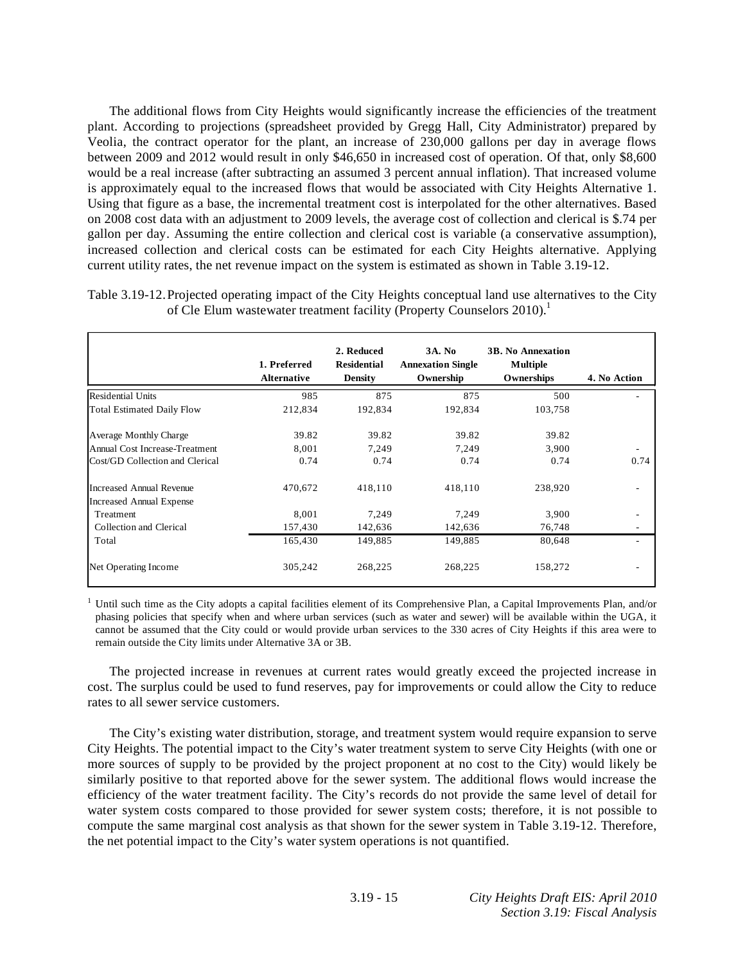The additional flows from City Heights would significantly increase the efficiencies of the treatment plant. According to projections (spreadsheet provided by Gregg Hall, City Administrator) prepared by Veolia, the contract operator for the plant, an increase of 230,000 gallons per day in average flows between 2009 and 2012 would result in only \$46,650 in increased cost of operation. Of that, only \$8,600 would be a real increase (after subtracting an assumed 3 percent annual inflation). That increased volume is approximately equal to the increased flows that would be associated with City Heights Alternative 1. Using that figure as a base, the incremental treatment cost is interpolated for the other alternatives. Based on 2008 cost data with an adjustment to 2009 levels, the average cost of collection and clerical is \$.74 per gallon per day. Assuming the entire collection and clerical cost is variable (a conservative assumption), increased collection and clerical costs can be estimated for each City Heights alternative. Applying current utility rates, the net revenue impact on the system is estimated as shown in Table 3.19-12.

|                                   | 1. Preferred<br><b>Alternative</b> | 2. Reduced<br><b>Residential</b><br>Density | <b>3A. No</b><br><b>Annexation Single</b><br>Ownership | <b>3B. No Annexation</b><br><b>Multiple</b><br>Ownerships | 4. No Action |
|-----------------------------------|------------------------------------|---------------------------------------------|--------------------------------------------------------|-----------------------------------------------------------|--------------|
| <b>Residential Units</b>          | 985                                | 875                                         | 875                                                    | 500                                                       |              |
| <b>Total Estimated Daily Flow</b> | 212,834                            | 192,834                                     | 192,834                                                | 103,758                                                   |              |
| Average Monthly Charge            | 39.82                              | 39.82                                       | 39.82                                                  | 39.82                                                     |              |
| Annual Cost Increase-Treatment    | 8.001                              | 7,249                                       | 7,249                                                  | 3.900                                                     |              |
| Cost/GD Collection and Clerical   | 0.74                               | 0.74                                        | 0.74                                                   | 0.74                                                      | 0.74         |
| <b>Increased Annual Revenue</b>   | 470,672                            | 418,110                                     | 418,110                                                | 238,920                                                   |              |
| <b>Increased Annual Expense</b>   |                                    |                                             |                                                        |                                                           |              |
| Treatment                         | 8,001                              | 7,249                                       | 7,249                                                  | 3,900                                                     |              |
| Collection and Clerical           | 157,430                            | 142,636                                     | 142,636                                                | 76,748                                                    |              |
| Total                             | 165,430                            | 149.885                                     | 149,885                                                | 80,648                                                    |              |
| Net Operating Income              | 305,242                            | 268,225                                     | 268,225                                                | 158,272                                                   |              |

Table 3.19-12. Projected operating impact of the City Heights conceptual land use alternatives to the City of Cle Elum wastewater treatment facility (Property Counselors 2010).<sup>1</sup>

<sup>1</sup> Until such time as the City adopts a capital facilities element of its Comprehensive Plan, a Capital Improvements Plan, and/or phasing policies that specify when and where urban services (such as water and sewer) will be available within the UGA, it cannot be assumed that the City could or would provide urban services to the 330 acres of City Heights if this area were to remain outside the City limits under Alternative 3A or 3B.

 The projected increase in revenues at current rates would greatly exceed the projected increase in cost. The surplus could be used to fund reserves, pay for improvements or could allow the City to reduce rates to all sewer service customers.

 The City's existing water distribution, storage, and treatment system would require expansion to serve City Heights. The potential impact to the City's water treatment system to serve City Heights (with one or more sources of supply to be provided by the project proponent at no cost to the City) would likely be similarly positive to that reported above for the sewer system. The additional flows would increase the efficiency of the water treatment facility. The City's records do not provide the same level of detail for water system costs compared to those provided for sewer system costs; therefore, it is not possible to compute the same marginal cost analysis as that shown for the sewer system in Table 3.19-12. Therefore, the net potential impact to the City's water system operations is not quantified.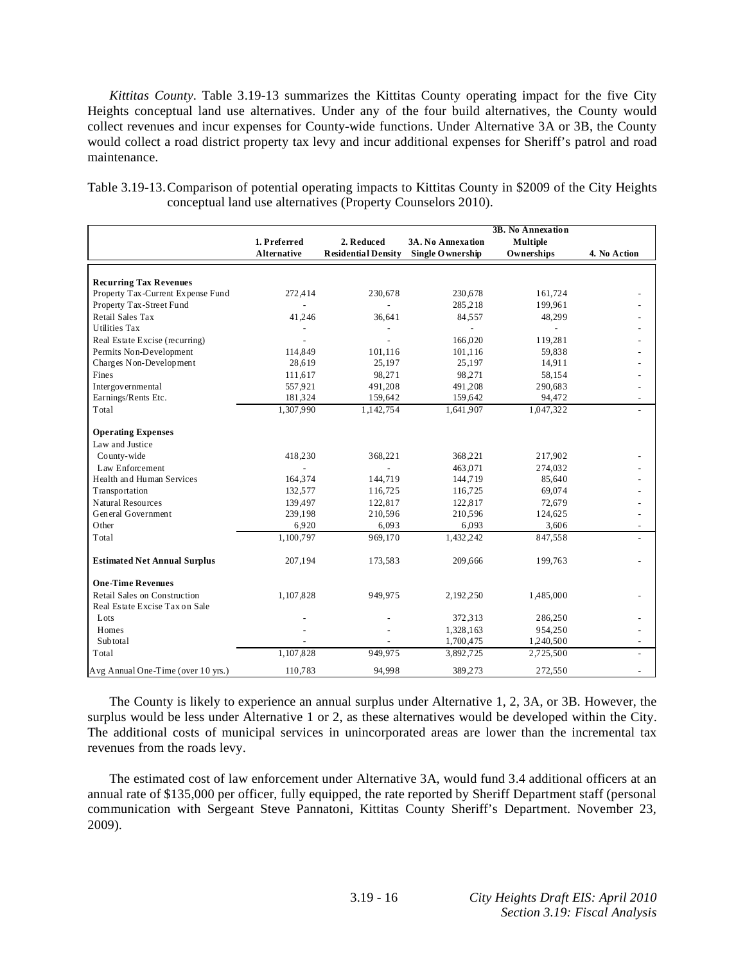*Kittitas County*. Table 3.19-13 summarizes the Kittitas County operating impact for the five City Heights conceptual land use alternatives. Under any of the four build alternatives, the County would collect revenues and incur expenses for County-wide functions. Under Alternative 3A or 3B, the County would collect a road district property tax levy and incur additional expenses for Sheriff's patrol and road maintenance.

|                                     | 3B. No Annexation  |                            |                   |                 |              |
|-------------------------------------|--------------------|----------------------------|-------------------|-----------------|--------------|
|                                     | 1. Preferred       | 2. Reduced                 | 3A. No Annexation | <b>Multiple</b> |              |
|                                     | <b>Alternative</b> | <b>Residential Density</b> | Single O wnership | Ownerships      | 4. No Action |
|                                     |                    |                            |                   |                 |              |
| <b>Recurring Tax Revenues</b>       |                    |                            |                   |                 |              |
| Property Tax-Current Expense Fund   | 272,414            | 230,678                    | 230,678           | 161,724         |              |
| Property Tax-Street Fund            |                    |                            | 285,218           | 199,961         |              |
| Retail Sales Tax                    | 41,246             | 36,641                     | 84.557            | 48,299          |              |
| <b>Utilities Tax</b>                |                    |                            | ÷.                |                 |              |
| Real Estate Excise (recurring)      |                    |                            | 166,020           | 119,281         |              |
| Permits Non-Development             | 114,849            | 101,116                    | 101,116           | 59,838          |              |
| Charges Non-Development             | 28,619             | 25,197                     | 25,197            | 14,911          |              |
| Fines                               | 111,617            | 98,271                     | 98,271            | 58,154          |              |
| Intergovernmental                   | 557.921            | 491,208                    | 491,208           | 290,683         |              |
| Earnings/Rents Etc.                 | 181,324            | 159,642                    | 159,642           | 94,472          |              |
| Total                               | 1,307,990          | 1,142,754                  | 1,641,907         | 1,047,322       |              |
| <b>Operating Expenses</b>           |                    |                            |                   |                 |              |
| Law and Justice                     |                    |                            |                   |                 |              |
| County-wide                         | 418,230            | 368,221                    | 368,221           | 217,902         |              |
| Law Enforcement                     |                    |                            | 463,071           | 274,032         |              |
| Health and Human Services           | 164,374            | 144,719                    | 144,719           | 85,640          |              |
| Transportation                      | 132,577            | 116,725                    | 116,725           | 69,074          |              |
| Natural Resources                   | 139,497            | 122,817                    | 122,817           | 72,679          |              |
| General Government                  | 239,198            | 210,596                    | 210,596           | 124,625         |              |
| Other                               | 6,920              | 6,093                      | 6,093             | 3,606           |              |
| Total                               | 1,100,797          | 969,170                    | 1,432,242         | 847,558         |              |
| <b>Estimated Net Annual Surplus</b> | 207,194            | 173,583                    | 209,666           | 199,763         |              |
| <b>One-Time Revenues</b>            |                    |                            |                   |                 |              |
| Retail Sales on Construction        | 1,107,828          | 949,975                    | 2,192,250         | 1,485,000       |              |
| Real Estate Excise Tax on Sale      |                    |                            |                   |                 |              |
| Lots                                |                    |                            | 372,313           | 286,250         |              |
| Homes                               |                    |                            | 1,328,163         | 954,250         |              |
| Subtotal                            |                    |                            | 1,700,475         | 1,240,500       |              |
| Total                               | 1,107,828          | 949,975                    | 3,892,725         | 2,725,500       |              |
| Avg Annual One-Time (over 10 yrs.)  | 110,783            | 94,998                     | 389,273           | 272,550         |              |

Table 3.19-13. Comparison of potential operating impacts to Kittitas County in \$2009 of the City Heights conceptual land use alternatives (Property Counselors 2010).

 The County is likely to experience an annual surplus under Alternative 1, 2, 3A, or 3B. However, the surplus would be less under Alternative 1 or 2, as these alternatives would be developed within the City. The additional costs of municipal services in unincorporated areas are lower than the incremental tax revenues from the roads levy.

 The estimated cost of law enforcement under Alternative 3A, would fund 3.4 additional officers at an annual rate of \$135,000 per officer, fully equipped, the rate reported by Sheriff Department staff (personal communication with Sergeant Steve Pannatoni, Kittitas County Sheriff's Department. November 23, 2009).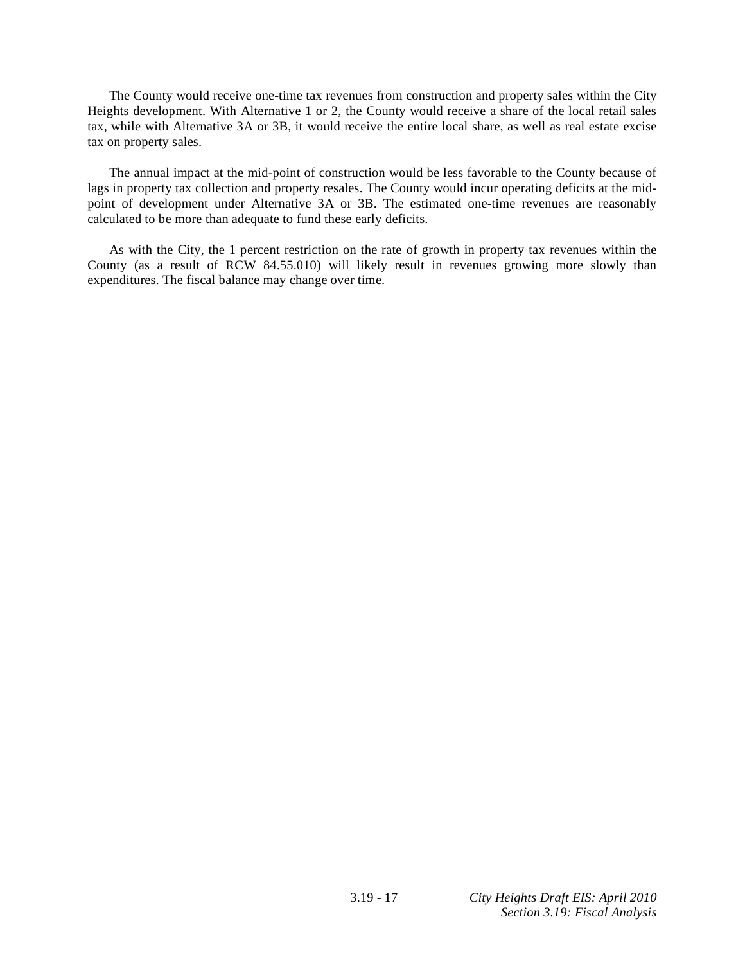The County would receive one-time tax revenues from construction and property sales within the City Heights development. With Alternative 1 or 2, the County would receive a share of the local retail sales tax, while with Alternative 3A or 3B, it would receive the entire local share, as well as real estate excise tax on property sales.

 The annual impact at the mid-point of construction would be less favorable to the County because of lags in property tax collection and property resales. The County would incur operating deficits at the midpoint of development under Alternative 3A or 3B. The estimated one-time revenues are reasonably calculated to be more than adequate to fund these early deficits.

 As with the City, the 1 percent restriction on the rate of growth in property tax revenues within the County (as a result of RCW 84.55.010) will likely result in revenues growing more slowly than expenditures. The fiscal balance may change over time.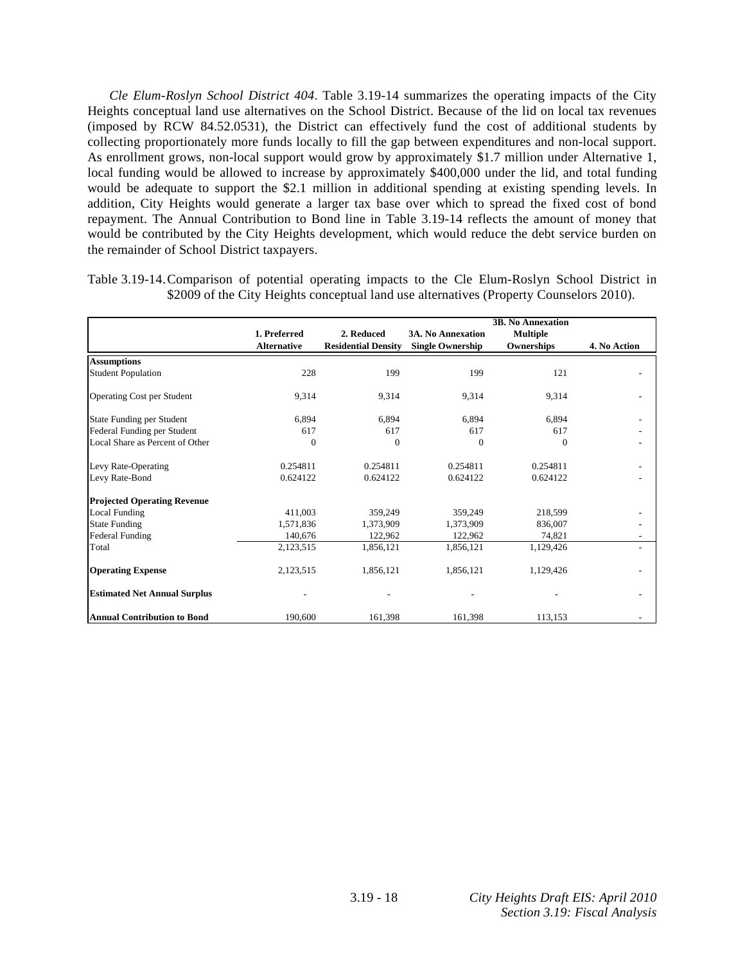*Cle Elum-Roslyn School District 404*. Table 3.19-14 summarizes the operating impacts of the City Heights conceptual land use alternatives on the School District. Because of the lid on local tax revenues (imposed by RCW 84.52.0531), the District can effectively fund the cost of additional students by collecting proportionately more funds locally to fill the gap between expenditures and non-local support. As enrollment grows, non-local support would grow by approximately \$1.7 million under Alternative 1, local funding would be allowed to increase by approximately \$400,000 under the lid, and total funding would be adequate to support the \$2.1 million in additional spending at existing spending levels. In addition, City Heights would generate a larger tax base over which to spread the fixed cost of bond repayment. The Annual Contribution to Bond line in Table 3.19-14 reflects the amount of money that would be contributed by the City Heights development, which would reduce the debt service burden on the remainder of School District taxpayers.

|              |                                        | \$2009 of the City Heights conceptual land use alternatives (Property Counselors 2010). |                          |  |
|--------------|----------------------------------------|-----------------------------------------------------------------------------------------|--------------------------|--|
|              |                                        |                                                                                         | <b>3B. No Annexation</b> |  |
| 1. Preferred | 2. Reduced<br><b>PUILLER EXECUTIVE</b> | <b>3A. No Annexation</b>                                                                | Multiple                 |  |

Table 3.19-14. Comparison of potential operating impacts to the Cle Elum-Roslyn School District in

|                                     | 1. Preferred       | 2. Reduced                 | <b>3A. No Annexation</b> | <b>Multiple</b> |              |
|-------------------------------------|--------------------|----------------------------|--------------------------|-----------------|--------------|
|                                     | <b>Alternative</b> | <b>Residential Density</b> | <b>Single Ownership</b>  | Ownerships      | 4. No Action |
| <b>Assumptions</b>                  |                    |                            |                          |                 |              |
| <b>Student Population</b>           | 228                | 199                        | 199                      | 121             |              |
| <b>Operating Cost per Student</b>   | 9,314              | 9,314                      | 9,314                    | 9,314           |              |
| State Funding per Student           | 6,894              | 6,894                      | 6,894                    | 6,894           |              |
| Federal Funding per Student         | 617                | 617                        | 617                      | 617             |              |
| Local Share as Percent of Other     | $\theta$           | 0                          | $\mathbf{0}$             | 0               |              |
| Levy Rate-Operating                 | 0.254811           | 0.254811                   | 0.254811                 | 0.254811        |              |
| Levy Rate-Bond                      | 0.624122           | 0.624122                   | 0.624122                 | 0.624122        |              |
| <b>Projected Operating Revenue</b>  |                    |                            |                          |                 |              |
| <b>Local Funding</b>                | 411,003            | 359,249                    | 359,249                  | 218,599         |              |
| <b>State Funding</b>                | 1,571,836          | 1,373,909                  | 1,373,909                | 836,007         |              |
| Federal Funding                     | 140,676            | 122,962                    | 122,962                  | 74,821          |              |
| Total                               | 2,123,515          | 1,856,121                  | 1,856,121                | 1,129,426       |              |
| <b>Operating Expense</b>            | 2,123,515          | 1,856,121                  | 1,856,121                | 1,129,426       |              |
| <b>Estimated Net Annual Surplus</b> |                    |                            |                          |                 |              |
| <b>Annual Contribution to Bond</b>  | 190,600            | 161,398                    | 161,398                  | 113,153         |              |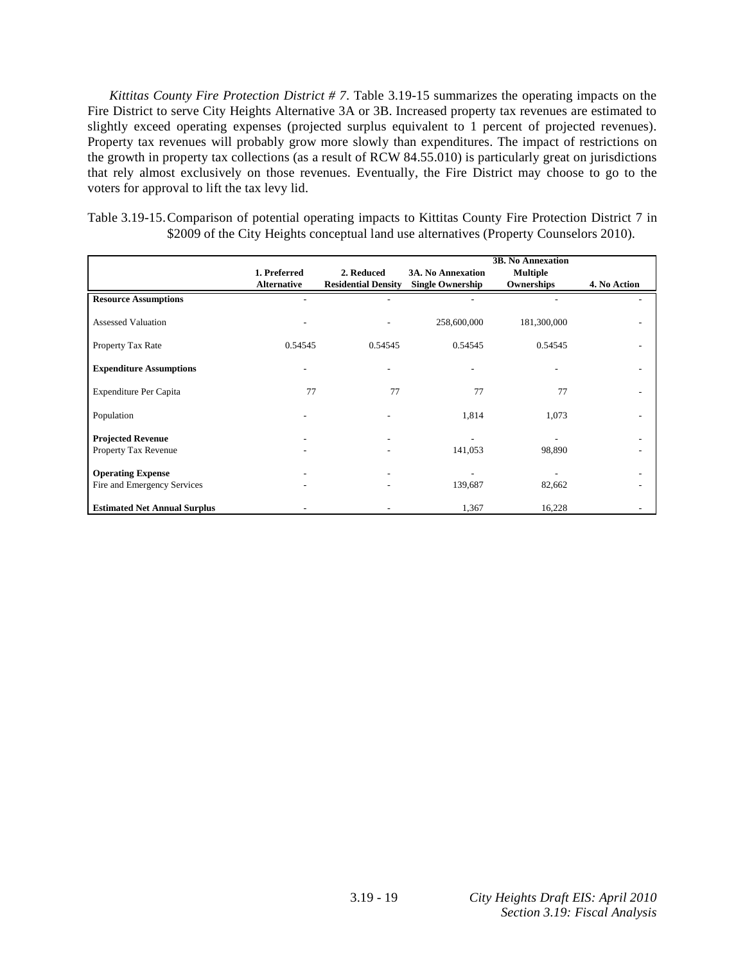*Kittitas County Fire Protection District # 7*. Table 3.19-15 summarizes the operating impacts on the Fire District to serve City Heights Alternative 3A or 3B. Increased property tax revenues are estimated to slightly exceed operating expenses (projected surplus equivalent to 1 percent of projected revenues). Property tax revenues will probably grow more slowly than expenditures. The impact of restrictions on the growth in property tax collections (as a result of RCW 84.55.010) is particularly great on jurisdictions that rely almost exclusively on those revenues. Eventually, the Fire District may choose to go to the voters for approval to lift the tax levy lid.

|  | Table 3.19-15. Comparison of potential operating impacts to Kittitas County Fire Protection District 7 in |
|--|-----------------------------------------------------------------------------------------------------------|
|  | \$2009 of the City Heights conceptual land use alternatives (Property Counselors 2010).                   |

|                                                         |                                    |                                          |                                                     | <b>3B. No Annexation</b>      |              |
|---------------------------------------------------------|------------------------------------|------------------------------------------|-----------------------------------------------------|-------------------------------|--------------|
|                                                         | 1. Preferred<br><b>Alternative</b> | 2. Reduced<br><b>Residential Density</b> | <b>3A. No Annexation</b><br><b>Single Ownership</b> | <b>Multiple</b><br>Ownerships | 4. No Action |
| <b>Resource Assumptions</b>                             |                                    |                                          |                                                     |                               |              |
| <b>Assessed Valuation</b>                               |                                    |                                          | 258,600,000                                         | 181,300,000                   |              |
| Property Tax Rate                                       | 0.54545                            | 0.54545                                  | 0.54545                                             | 0.54545                       |              |
| <b>Expenditure Assumptions</b>                          |                                    |                                          |                                                     |                               |              |
| Expenditure Per Capita                                  | 77                                 | 77                                       | 77                                                  | 77                            |              |
| Population                                              |                                    |                                          | 1,814                                               | 1,073                         |              |
| <b>Projected Revenue</b><br>Property Tax Revenue        |                                    |                                          | 141,053                                             | 98,890                        |              |
| <b>Operating Expense</b><br>Fire and Emergency Services |                                    |                                          | 139,687                                             | 82,662                        |              |
| <b>Estimated Net Annual Surplus</b>                     |                                    |                                          | 1,367                                               | 16,228                        |              |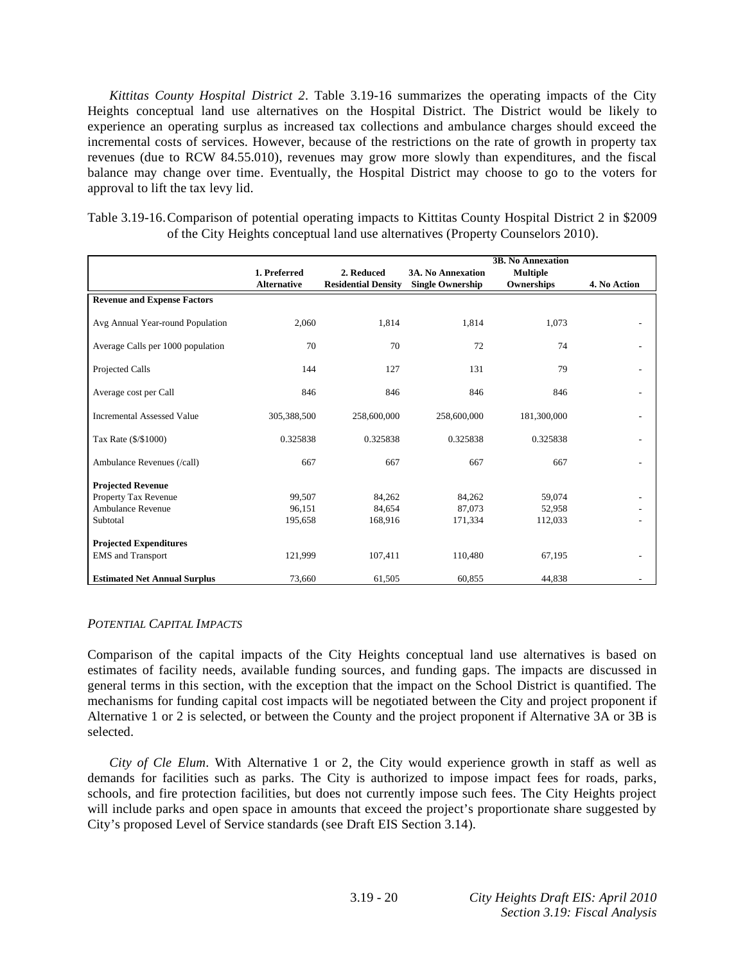*Kittitas County Hospital District 2*. Table 3.19-16 summarizes the operating impacts of the City Heights conceptual land use alternatives on the Hospital District. The District would be likely to experience an operating surplus as increased tax collections and ambulance charges should exceed the incremental costs of services. However, because of the restrictions on the rate of growth in property tax revenues (due to RCW 84.55.010), revenues may grow more slowly than expenditures, and the fiscal balance may change over time. Eventually, the Hospital District may choose to go to the voters for approval to lift the tax levy lid.

| Table 3.19-16. Comparison of potential operating impacts to Kittitas County Hospital District 2 in \$2009 |
|-----------------------------------------------------------------------------------------------------------|
| of the City Heights conceptual land use alternatives (Property Counselors 2010).                          |

|                                     |                    |                            |                          | <b>3B. No Annexation</b> |              |
|-------------------------------------|--------------------|----------------------------|--------------------------|--------------------------|--------------|
|                                     | 1. Preferred       | 2. Reduced                 | <b>3A. No Annexation</b> | <b>Multiple</b>          |              |
|                                     | <b>Alternative</b> | <b>Residential Density</b> | <b>Single Ownership</b>  | Ownerships               | 4. No Action |
| <b>Revenue and Expense Factors</b>  |                    |                            |                          |                          |              |
| Avg Annual Year-round Population    | 2,060              | 1,814                      | 1,814                    | 1,073                    |              |
| Average Calls per 1000 population   | 70                 | 70                         | 72                       | 74                       |              |
| Projected Calls                     | 144                | 127                        | 131                      | 79                       |              |
| Average cost per Call               | 846                | 846                        | 846                      | 846                      |              |
| <b>Incremental Assessed Value</b>   | 305,388,500        | 258,600,000                | 258,600,000              | 181,300,000              |              |
| Tax Rate (\$/\$1000)                | 0.325838           | 0.325838                   | 0.325838                 | 0.325838                 |              |
| Ambulance Revenues (/call)          | 667                | 667                        | 667                      | 667                      |              |
| <b>Projected Revenue</b>            |                    |                            |                          |                          |              |
| Property Tax Revenue                | 99,507             | 84,262                     | 84,262                   | 59,074                   |              |
| <b>Ambulance Revenue</b>            | 96,151             | 84,654                     | 87,073                   | 52,958                   |              |
| Subtotal                            | 195,658            | 168,916                    | 171,334                  | 112,033                  |              |
| <b>Projected Expenditures</b>       |                    |                            |                          |                          |              |
| <b>EMS</b> and Transport            | 121,999            | 107,411                    | 110,480                  | 67,195                   |              |
| <b>Estimated Net Annual Surplus</b> | 73,660             | 61,505                     | 60,855                   | 44,838                   |              |

#### *POTENTIAL CAPITAL IMPACTS*

Comparison of the capital impacts of the City Heights conceptual land use alternatives is based on estimates of facility needs, available funding sources, and funding gaps. The impacts are discussed in general terms in this section, with the exception that the impact on the School District is quantified. The mechanisms for funding capital cost impacts will be negotiated between the City and project proponent if Alternative 1 or 2 is selected, or between the County and the project proponent if Alternative 3A or 3B is selected.

*City of Cle Elum*. With Alternative 1 or 2, the City would experience growth in staff as well as demands for facilities such as parks. The City is authorized to impose impact fees for roads, parks, schools, and fire protection facilities, but does not currently impose such fees. The City Heights project will include parks and open space in amounts that exceed the project's proportionate share suggested by City's proposed Level of Service standards (see Draft EIS Section 3.14).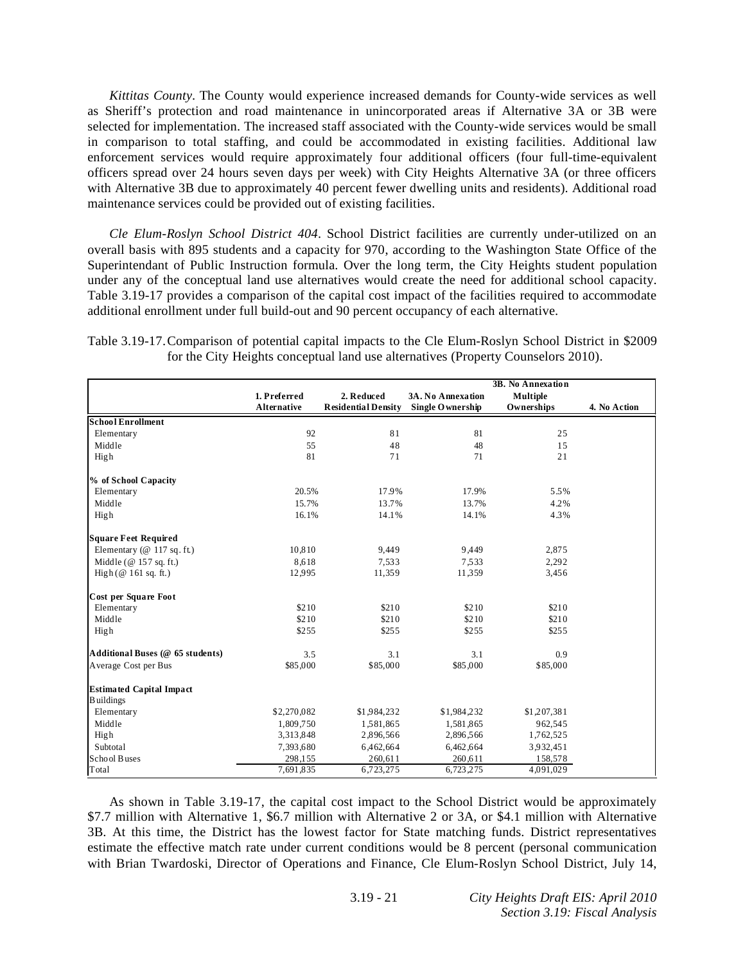*Kittitas County*. The County would experience increased demands for County-wide services as well as Sheriff's protection and road maintenance in unincorporated areas if Alternative 3A or 3B were selected for implementation. The increased staff associated with the County-wide services would be small in comparison to total staffing, and could be accommodated in existing facilities. Additional law enforcement services would require approximately four additional officers (four full-time-equivalent officers spread over 24 hours seven days per week) with City Heights Alternative 3A (or three officers with Alternative 3B due to approximately 40 percent fewer dwelling units and residents). Additional road maintenance services could be provided out of existing facilities.

*Cle Elum-Roslyn School District 404*. School District facilities are currently under-utilized on an overall basis with 895 students and a capacity for 970, according to the Washington State Office of the Superintendant of Public Instruction formula. Over the long term, the City Heights student population under any of the conceptual land use alternatives would create the need for additional school capacity. Table 3.19-17 provides a comparison of the capital cost impact of the facilities required to accommodate additional enrollment under full build-out and 90 percent occupancy of each alternative.

| Table 3.19-17. Comparison of potential capital impacts to the Cle Elum-Roslyn School District in \$2009 |  |
|---------------------------------------------------------------------------------------------------------|--|
| for the City Heights conceptual land use alternatives (Property Counselors 2010).                       |  |

|                                  |                    |                            |                   | 3B. No Annexation |              |
|----------------------------------|--------------------|----------------------------|-------------------|-------------------|--------------|
|                                  | 1. Preferred       | 2. Reduced                 | 3A. No Annexation | <b>Multiple</b>   |              |
|                                  | <b>Alternative</b> | <b>Residential Density</b> | Single O wnership | Ownerships        | 4. No Action |
| <b>School Enrollment</b>         |                    |                            |                   |                   |              |
| Elementary                       | 92                 | 81                         | 81                | 25                |              |
| Middle                           | 55                 | 48                         | 48                | 15                |              |
| High                             | 81                 | 71                         | 71                | 21                |              |
| % of School Capacity             |                    |                            |                   |                   |              |
| Elementary                       | 20.5%              | 17.9%                      | 17.9%             | 5.5%              |              |
| Middle                           | 15.7%              | 13.7%                      | 13.7%             | 4.2%              |              |
| High                             | 16.1%              | 14.1%                      | 14.1%             | 4.3%              |              |
| <b>Square Feet Required</b>      |                    |                            |                   |                   |              |
| Elementary ( $@117 sq. ft$ )     | 10,810             | 9,449                      | 9,449             | 2,875             |              |
| Middle ( $@157$ sq. ft.)         | 8,618              | 7,533                      | 7.533             | 2,292             |              |
| High $(\emptyset 161$ sq. ft.)   | 12.995             | 11,359                     | 11,359            | 3,456             |              |
| Cost per Square Foot             |                    |                            |                   |                   |              |
| Elementary                       | \$210              | \$210                      | \$210             | \$210             |              |
| Middle                           | \$210              | \$210                      | \$210             | \$210             |              |
| High                             | \$255              | \$255                      | \$255             | \$255             |              |
| Additional Buses (@ 65 students) | 3.5                | 3.1                        | 3.1               | 0.9               |              |
| Average Cost per Bus             | \$85,000           | \$85,000                   | \$85,000          | \$85,000          |              |
| <b>Estimated Capital Impact</b>  |                    |                            |                   |                   |              |
| <b>Buildings</b>                 |                    |                            |                   |                   |              |
| Elementary                       | \$2,270,082        | \$1,984,232                | \$1,984,232       | \$1,207,381       |              |
| Middle                           | 1,809,750          | 1,581,865                  | 1,581,865         | 962.545           |              |
| High                             | 3,313,848          | 2,896,566                  | 2,896,566         | 1,762,525         |              |
| Subtotal                         | 7,393,680          | 6,462,664                  | 6,462,664         | 3.932,451         |              |
| School Buses                     | 298,155            | 260,611                    | 260,611           | 158,578           |              |
| Total                            | 7,691,835          | 6,723,275                  | 6,723,275         | 4,091,029         |              |

 As shown in Table 3.19-17, the capital cost impact to the School District would be approximately \$7.7 million with Alternative 1, \$6.7 million with Alternative 2 or 3A, or \$4.1 million with Alternative 3B. At this time, the District has the lowest factor for State matching funds. District representatives estimate the effective match rate under current conditions would be 8 percent (personal communication with Brian Twardoski, Director of Operations and Finance, Cle Elum-Roslyn School District, July 14,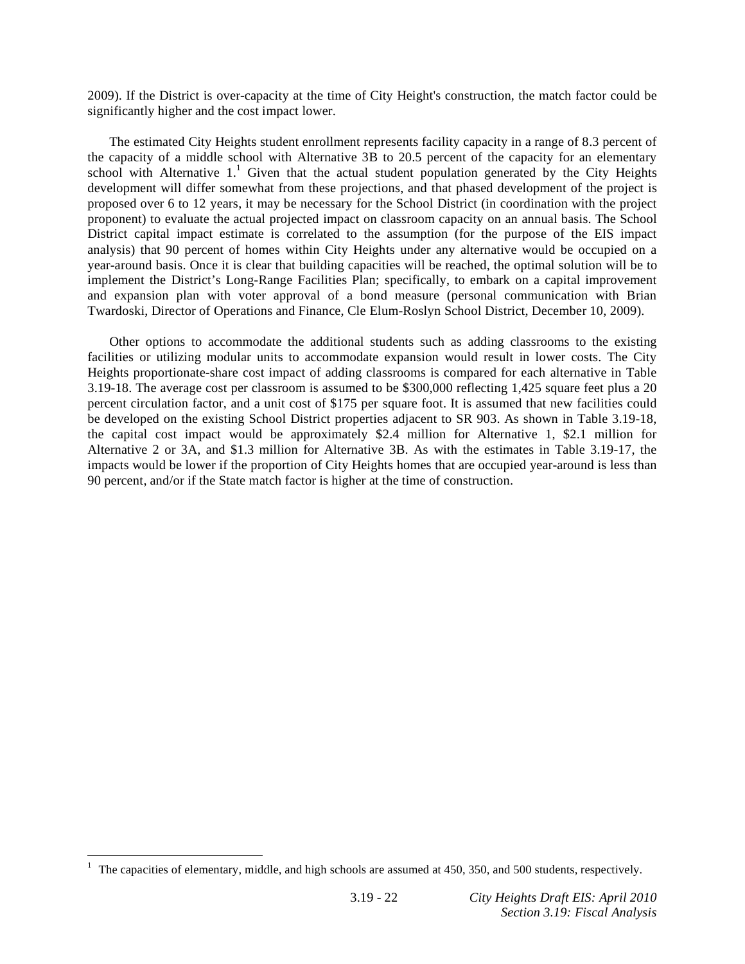2009). If the District is over-capacity at the time of City Height's construction, the match factor could be significantly higher and the cost impact lower.

 The estimated City Heights student enrollment represents facility capacity in a range of 8.3 percent of the capacity of a middle school with Alternative 3B to 20.5 percent of the capacity for an elementary school with Alternative  $1<sup>1</sup>$  Given that the actual student population generated by the City Heights development will differ somewhat from these projections, and that phased development of the project is proposed over 6 to 12 years, it may be necessary for the School District (in coordination with the project proponent) to evaluate the actual projected impact on classroom capacity on an annual basis. The School District capital impact estimate is correlated to the assumption (for the purpose of the EIS impact analysis) that 90 percent of homes within City Heights under any alternative would be occupied on a year-around basis. Once it is clear that building capacities will be reached, the optimal solution will be to implement the District's Long-Range Facilities Plan; specifically, to embark on a capital improvement and expansion plan with voter approval of a bond measure (personal communication with Brian Twardoski, Director of Operations and Finance, Cle Elum-Roslyn School District, December 10, 2009).

 Other options to accommodate the additional students such as adding classrooms to the existing facilities or utilizing modular units to accommodate expansion would result in lower costs. The City Heights proportionate-share cost impact of adding classrooms is compared for each alternative in Table 3.19-18. The average cost per classroom is assumed to be \$300,000 reflecting 1,425 square feet plus a 20 percent circulation factor, and a unit cost of \$175 per square foot. It is assumed that new facilities could be developed on the existing School District properties adjacent to SR 903. As shown in Table 3.19-18, the capital cost impact would be approximately \$2.4 million for Alternative 1, \$2.1 million for Alternative 2 or 3A, and \$1.3 million for Alternative 3B. As with the estimates in Table 3.19-17, the impacts would be lower if the proportion of City Heights homes that are occupied year-around is less than 90 percent, and/or if the State match factor is higher at the time of construction.

 $\overline{a}$ 

<sup>1</sup> The capacities of elementary, middle, and high schools are assumed at 450, 350, and 500 students, respectively.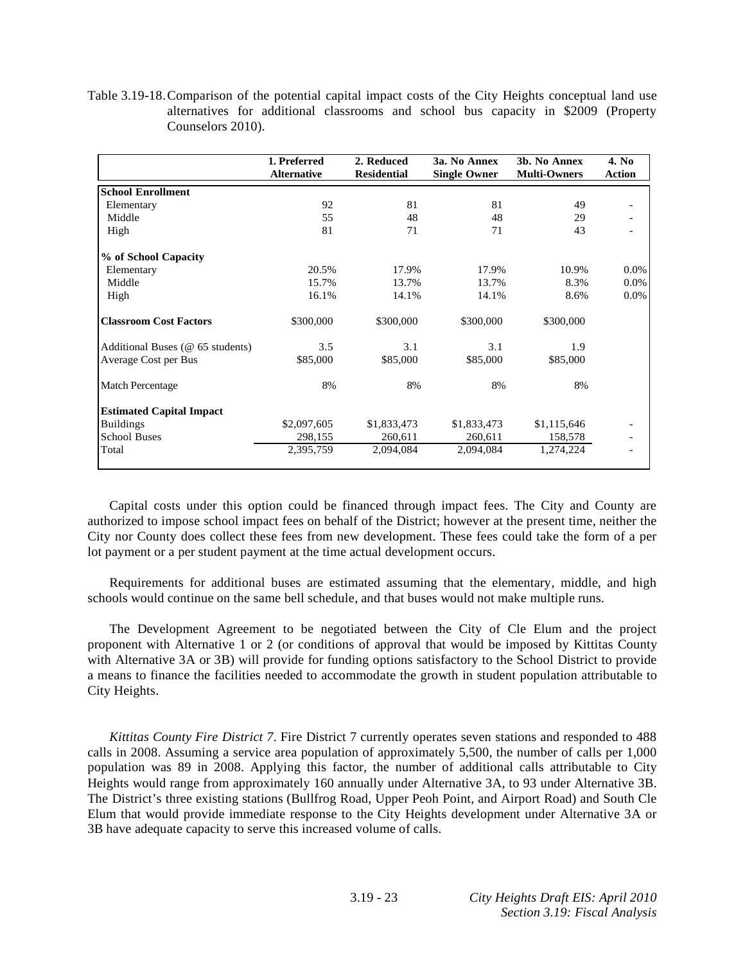Table 3.19-18. Comparison of the potential capital impact costs of the City Heights conceptual land use alternatives for additional classrooms and school bus capacity in \$2009 (Property Counselors 2010).

|                                  | 1. Preferred<br><b>Alternative</b> | 2. Reduced<br><b>Residential</b> | 3a. No Annex<br><b>Single Owner</b> | 3b. No Annex<br><b>Multi-Owners</b> | 4. No<br><b>Action</b> |
|----------------------------------|------------------------------------|----------------------------------|-------------------------------------|-------------------------------------|------------------------|
| <b>School Enrollment</b>         |                                    |                                  |                                     |                                     |                        |
| Elementary                       | 92                                 | 81                               | 81                                  | 49                                  |                        |
| Middle                           | 55                                 | 48                               | 48                                  | 29                                  |                        |
| High                             | 81                                 | 71                               | 71                                  | 43                                  |                        |
| % of School Capacity             |                                    |                                  |                                     |                                     |                        |
| Elementary                       | 20.5%                              | 17.9%                            | 17.9%                               | 10.9%                               | $0.0\%$                |
| Middle                           | 15.7%                              | 13.7%                            | 13.7%                               | 8.3%                                | $0.0\%$                |
| High                             | 16.1%                              | 14.1%                            | 14.1%                               | 8.6%                                | $0.0\%$                |
| <b>Classroom Cost Factors</b>    | \$300,000                          | \$300,000                        | \$300,000                           | \$300,000                           |                        |
| Additional Buses (@ 65 students) | 3.5                                | 3.1                              | 3.1                                 | 1.9                                 |                        |
| Average Cost per Bus             | \$85,000                           | \$85,000                         | \$85,000                            | \$85,000                            |                        |
| Match Percentage                 | 8%                                 | 8%                               | 8%                                  | 8%                                  |                        |
| <b>Estimated Capital Impact</b>  |                                    |                                  |                                     |                                     |                        |
| <b>Buildings</b>                 | \$2,097,605                        | \$1,833,473                      | \$1,833,473                         | \$1,115,646                         |                        |
| <b>School Buses</b>              | 298,155                            | 260,611                          | 260,611                             | 158,578                             |                        |
| Total                            | 2,395,759                          | 2,094,084                        | 2,094,084                           | 1,274,224                           |                        |

 Capital costs under this option could be financed through impact fees. The City and County are authorized to impose school impact fees on behalf of the District; however at the present time, neither the City nor County does collect these fees from new development. These fees could take the form of a per lot payment or a per student payment at the time actual development occurs.

 Requirements for additional buses are estimated assuming that the elementary, middle, and high schools would continue on the same bell schedule, and that buses would not make multiple runs.

 The Development Agreement to be negotiated between the City of Cle Elum and the project proponent with Alternative 1 or 2 (or conditions of approval that would be imposed by Kittitas County with Alternative 3A or 3B) will provide for funding options satisfactory to the School District to provide a means to finance the facilities needed to accommodate the growth in student population attributable to City Heights.

*Kittitas County Fire District 7*. Fire District 7 currently operates seven stations and responded to 488 calls in 2008. Assuming a service area population of approximately 5,500, the number of calls per 1,000 population was 89 in 2008. Applying this factor, the number of additional calls attributable to City Heights would range from approximately 160 annually under Alternative 3A, to 93 under Alternative 3B. The District's three existing stations (Bullfrog Road, Upper Peoh Point, and Airport Road) and South Cle Elum that would provide immediate response to the City Heights development under Alternative 3A or 3B have adequate capacity to serve this increased volume of calls.